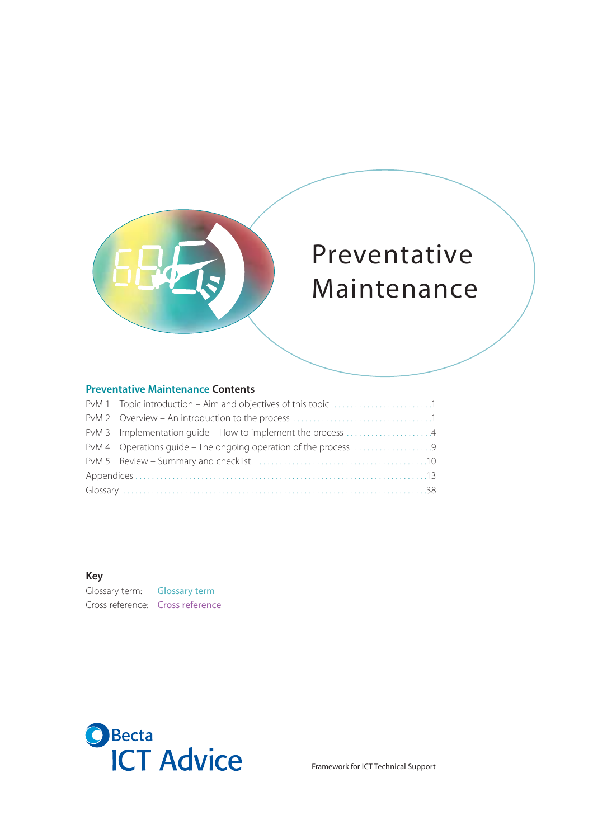

# Preventative Maintenance

# **Preventative Maintenance Contents**

#### **Key**

Glossary term: Glossary term Cross reference: Cross reference



Framework for ICT Technical Support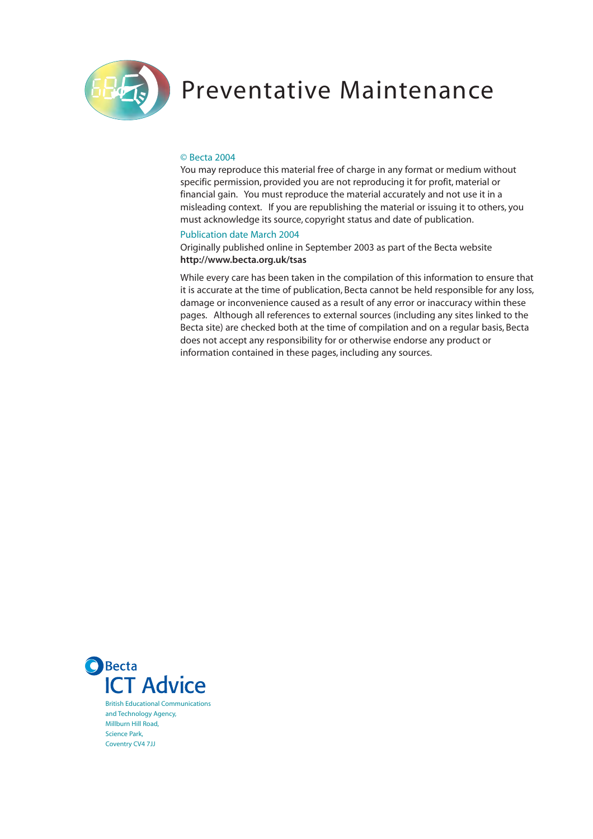

# Preventative Maintenance

#### © Becta 2004

You may reproduce this material free of charge in any format or medium without specific permission, provided you are not reproducing it for profit, material or financial gain. You must reproduce the material accurately and not use it in a misleading context. If you are republishing the material or issuing it to others, you must acknowledge its source, copyright status and date of publication.

#### Publication date March 2004

Originally published online in September 2003 as part of the Becta website **http://www.becta.org.uk/tsas**

While every care has been taken in the compilation of this information to ensure that it is accurate at the time of publication, Becta cannot be held responsible for any loss, damage or inconvenience caused as a result of any error or inaccuracy within these pages. Although all references to external sources (including any sites linked to the Becta site) are checked both at the time of compilation and on a regular basis, Becta does not accept any responsibility for or otherwise endorse any product or information contained in these pages, including any sources.



British Educational Communications and Technology Agency, Millburn Hill Road, Science Park, Coventry CV4 7JJ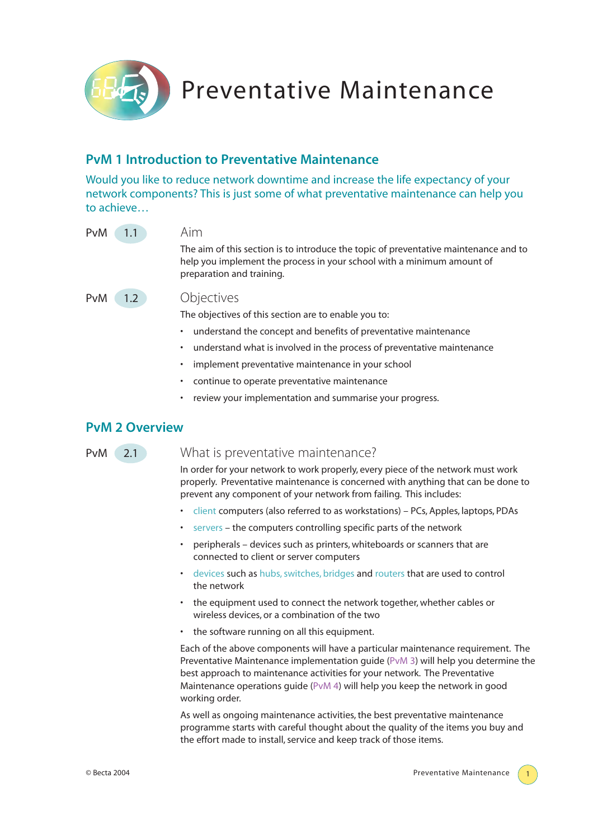Preventative Maintenance

# **PvM 1 Introduction to Preventative Maintenance**

Would you like to reduce network downtime and increase the life expectancy of your network components? This is just some of what preventative maintenance can help you to achieve…

| PvM<br>$\triangle 1.1$      | Aim                                                                                                                                                                                         |
|-----------------------------|---------------------------------------------------------------------------------------------------------------------------------------------------------------------------------------------|
|                             | The aim of this section is to introduce the topic of preventative maintenance and to<br>help you implement the process in your school with a minimum amount of<br>preparation and training. |
| PvM<br>$\left( 1.2 \right)$ | Objectives<br>The objectives of this section are to enable you to:                                                                                                                          |

- understand the concept and benefits of preventative maintenance
- understand what is involved in the process of preventative maintenance
- implement preventative maintenance in your school
- continue to operate preventative maintenance
- review your implementation and summarise your progress.

# **PvM 2 Overview**

# PvM 2.1 What is preventative maintenance?

In order for your network to work properly, every piece of the network must work properly. Preventative maintenance is concerned with anything that can be done to prevent any component of your network from failing. This includes:

- client computers (also referred to as workstations) PCs, Apples, laptops, PDAs
- servers the computers controlling specific parts of the network
- peripherals devices such as printers, whiteboards or scanners that are connected to client or server computers
- devices such as hubs, switches, bridges and routers that are used to control the network
- the equipment used to connect the network together, whether cables or wireless devices, or a combination of the two
- the software running on all this equipment.

Each of the above components will have a particular maintenance requirement. The Preventative Maintenance implementation guide (PvM 3) will help you determine the best approach to maintenance activities for your network. The Preventative Maintenance operations guide (PvM 4) will help you keep the network in good working order.

As well as ongoing maintenance activities, the best preventative maintenance programme starts with careful thought about the quality of the items you buy and the effort made to install, service and keep track of those items.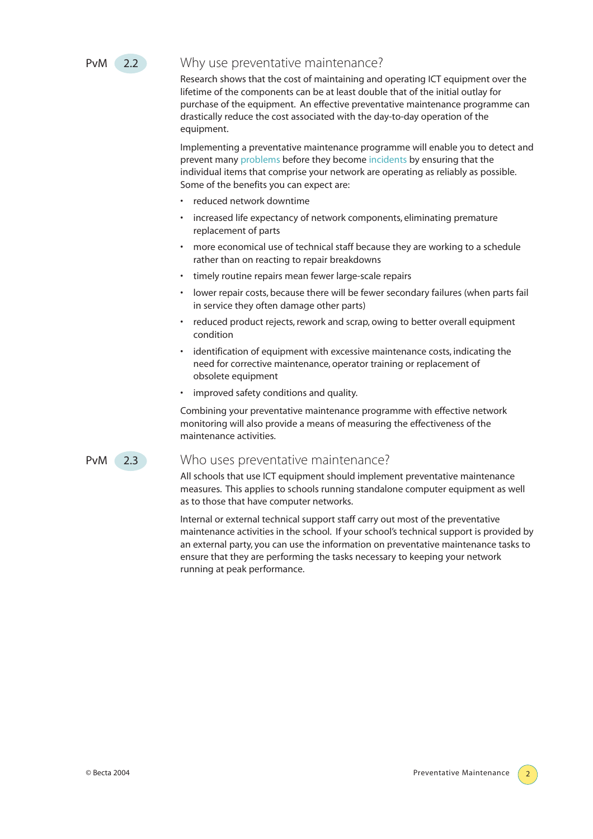

# PvM 2.2 Why use preventative maintenance?

Research shows that the cost of maintaining and operating ICT equipment over the lifetime of the components can be at least double that of the initial outlay for purchase of the equipment. An effective preventative maintenance programme can drastically reduce the cost associated with the day-to-day operation of the equipment.

Implementing a preventative maintenance programme will enable you to detect and prevent many problems before they become incidents by ensuring that the individual items that comprise your network are operating as reliably as possible. Some of the benefits you can expect are:

- reduced network downtime
- increased life expectancy of network components, eliminating premature replacement of parts
- more economical use of technical staff because they are working to a schedule rather than on reacting to repair breakdowns
- timely routine repairs mean fewer large-scale repairs
- lower repair costs, because there will be fewer secondary failures (when parts fail in service they often damage other parts)
- reduced product rejects, rework and scrap, owing to better overall equipment condition
- identification of equipment with excessive maintenance costs, indicating the need for corrective maintenance, operator training or replacement of obsolete equipment
- improved safety conditions and quality.

Combining your preventative maintenance programme with effective network monitoring will also provide a means of measuring the effectiveness of the maintenance activities.

# PvM 2.3 Who uses preventative maintenance?

All schools that use ICT equipment should implement preventative maintenance measures. This applies to schools running standalone computer equipment as well as to those that have computer networks.

Internal or external technical support staff carry out most of the preventative maintenance activities in the school. If your school's technical support is provided by an external party, you can use the information on preventative maintenance tasks to ensure that they are performing the tasks necessary to keeping your network running at peak performance.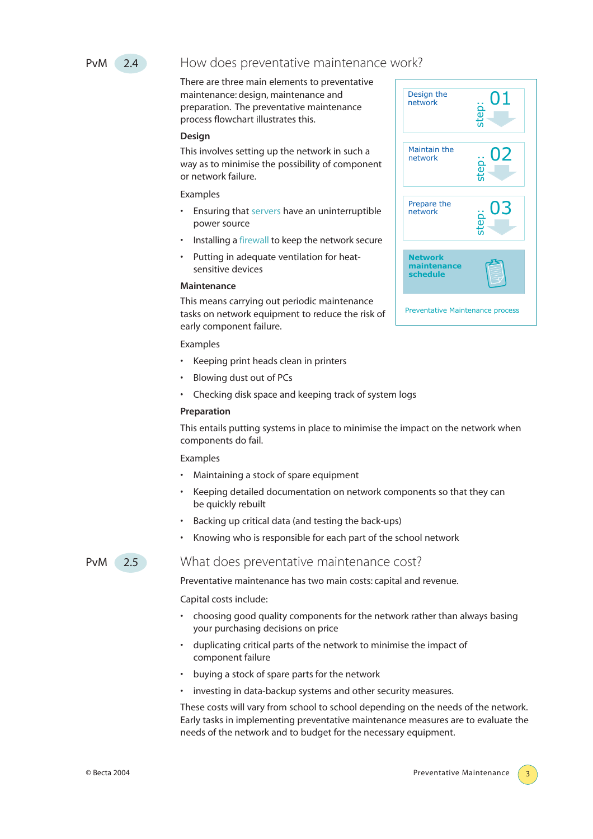

# PvM 2.4 How does preventative maintenance work?

There are three main elements to preventative maintenance: design, maintenance and preparation. The preventative maintenance process flowchart illustrates this.

#### **Design**

This involves setting up the network in such a way as to minimise the possibility of component or network failure.

#### Examples

- Ensuring that servers have an uninterruptible power source
- Installing a firewall to keep the network secure
- Putting in adequate ventilation for heatsensitive devices

#### **Maintenance**

This means carrying out periodic maintenance tasks on network equipment to reduce the risk of early component failure.

#### Examples

- Keeping print heads clean in printers
- Blowing dust out of PCs
- Checking disk space and keeping track of system logs

#### **Preparation**

This entails putting systems in place to minimise the impact on the network when components do fail.

#### Examples

- Maintaining a stock of spare equipment
- Keeping detailed documentation on network components so that they can be quickly rebuilt
- Backing up critical data (and testing the back-ups)
- Knowing who is responsible for each part of the school network

# PvM 2.5 What does preventative maintenance cost?

Preventative maintenance has two main costs: capital and revenue.

Capital costs include:

- choosing good quality components for the network rather than always basing your purchasing decisions on price
- duplicating critical parts of the network to minimise the impact of component failure
- buying a stock of spare parts for the network
- investing in data-backup systems and other security measures.

These costs will vary from school to school depending on the needs of the network. Early tasks in implementing preventative maintenance measures are to evaluate the needs of the network and to budget for the necessary equipment.

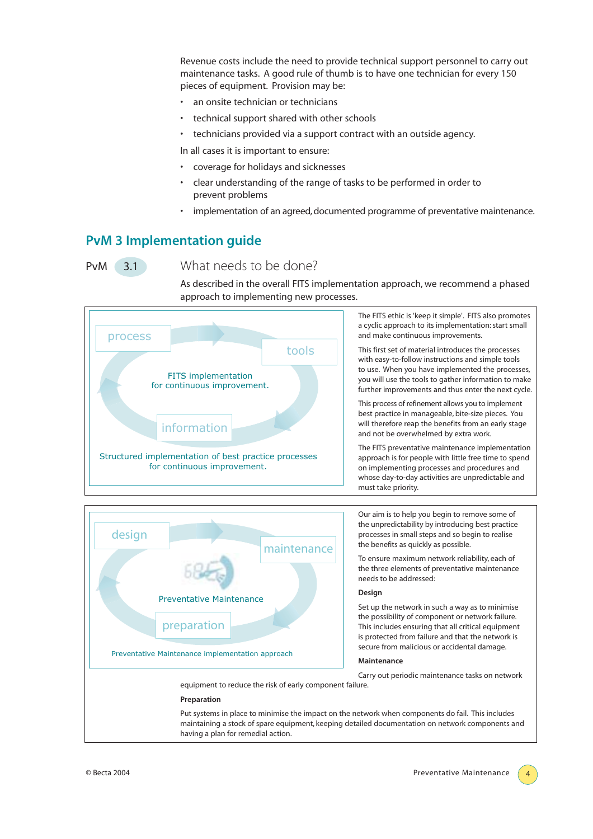Revenue costs include the need to provide technical support personnel to carry out maintenance tasks. A good rule of thumb is to have one technician for every 150 pieces of equipment. Provision may be:

- an onsite technician or technicians
- technical support shared with other schools
- technicians provided via a support contract with an outside agency.

In all cases it is important to ensure:

- coverage for holidays and sicknesses
- clear understanding of the range of tasks to be performed in order to prevent problems
- implementation of an agreed, documented programme of preventative maintenance.

# **PvM 3 Implementation guide**

# PvM 3.1 What needs to be done?

As described in the overall FITS implementation approach, we recommend a phased approach to implementing new processes.





Our aim is to help you begin to remove some of the unpredictability by introducing best practice processes in small steps and so begin to realise the benefits as quickly as possible.

To ensure maximum network reliability, each of the three elements of preventative maintenance needs to be addressed:

#### **Design**

Set up the network in such a way as to minimise the possibility of component or network failure. This includes ensuring that all critical equipment is protected from failure and that the network is secure from malicious or accidental damage.

#### **Maintenance**

Carry out periodic maintenance tasks on network

#### **Preparation**

Put systems in place to minimise the impact on the network when components do fail. This includes maintaining a stock of spare equipment, keeping detailed documentation on network components and having a plan for remedial action.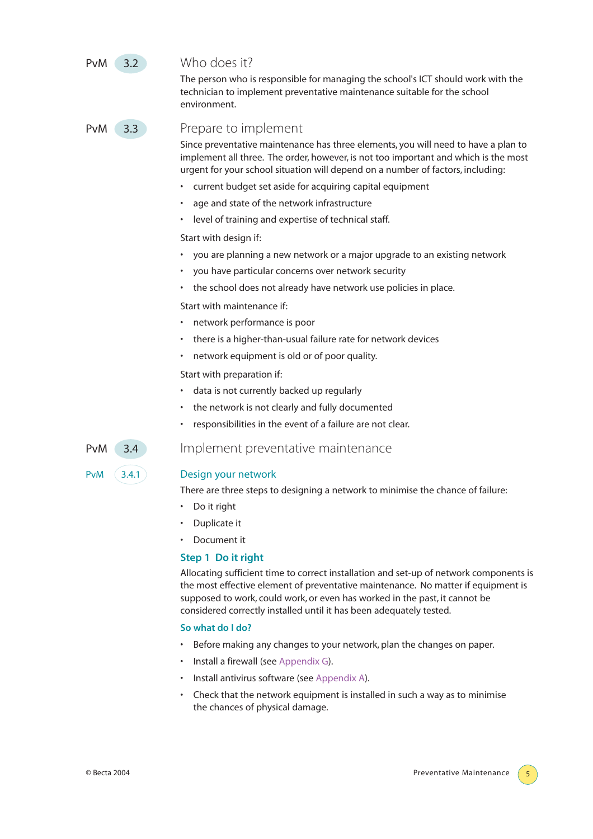# PvM 3.2 Who does it?

The person who is responsible for managing the school's ICT should work with the technician to implement preventative maintenance suitable for the school environment.

# PvM 3.3 Prepare to implement

Since preventative maintenance has three elements, you will need to have a plan to implement all three. The order, however, is not too important and which is the most urgent for your school situation will depend on a number of factors, including:

- current budget set aside for acquiring capital equipment
- age and state of the network infrastructure
- level of training and expertise of technical staff.

Start with design if:

- you are planning a new network or a major upgrade to an existing network
- you have particular concerns over network security
- the school does not already have network use policies in place.

Start with maintenance if:

- network performance is poor
- there is a higher-than-usual failure rate for network devices
- network equipment is old or of poor quality.

Start with preparation if:

- data is not currently backed up regularly
- the network is not clearly and fully documented
- responsibilities in the event of a failure are not clear.

PvM 3.4 Implement preventative maintenance

#### PvM (3.4.1) Design your network

There are three steps to designing a network to minimise the chance of failure:

- Do it right
- Duplicate it
- Document it

#### **Step 1 Do it right**

Allocating sufficient time to correct installation and set-up of network components is the most effective element of preventative maintenance. No matter if equipment is supposed to work, could work, or even has worked in the past, it cannot be considered correctly installed until it has been adequately tested.

#### **So what do I do?**

- Before making any changes to your network, plan the changes on paper.
- Install a firewall (see Appendix G).
- Install antivirus software (see Appendix A).
- Check that the network equipment is installed in such a way as to minimise the chances of physical damage.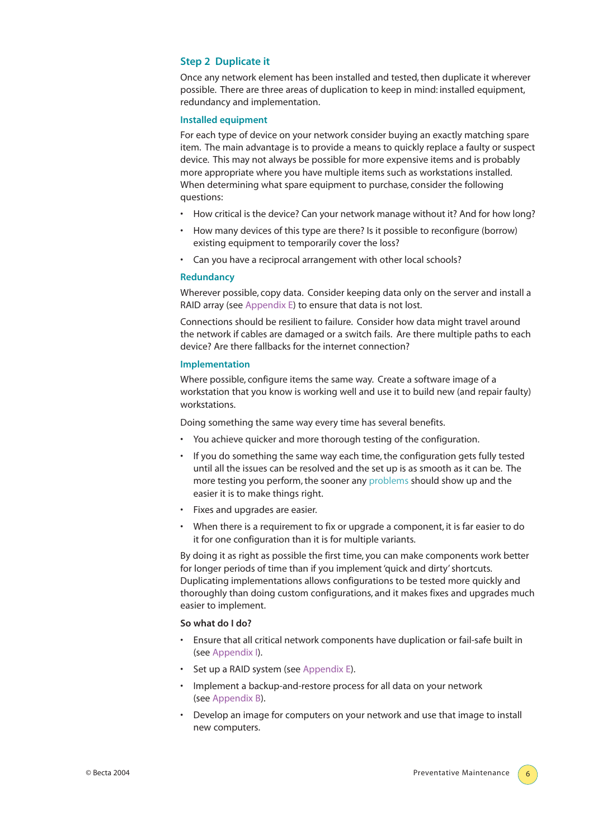#### **Step 2 Duplicate it**

Once any network element has been installed and tested, then duplicate it wherever possible. There are three areas of duplication to keep in mind: installed equipment, redundancy and implementation.

#### **Installed equipment**

For each type of device on your network consider buying an exactly matching spare item. The main advantage is to provide a means to quickly replace a faulty or suspect device. This may not always be possible for more expensive items and is probably more appropriate where you have multiple items such as workstations installed. When determining what spare equipment to purchase, consider the following questions:

- How critical is the device? Can your network manage without it? And for how long?
- How many devices of this type are there? Is it possible to reconfigure (borrow) existing equipment to temporarily cover the loss?
- Can you have a reciprocal arrangement with other local schools?

#### **Redundancy**

Wherever possible, copy data. Consider keeping data only on the server and install a RAID array (see Appendix E) to ensure that data is not lost.

Connections should be resilient to failure. Consider how data might travel around the network if cables are damaged or a switch fails. Are there multiple paths to each device? Are there fallbacks for the internet connection?

#### **Implementation**

Where possible, configure items the same way. Create a software image of a workstation that you know is working well and use it to build new (and repair faulty) workstations.

Doing something the same way every time has several benefits.

- You achieve quicker and more thorough testing of the configuration.
- If you do something the same way each time, the configuration gets fully tested until all the issues can be resolved and the set up is as smooth as it can be. The more testing you perform, the sooner any problems should show up and the easier it is to make things right.
- Fixes and upgrades are easier.
- When there is a requirement to fix or upgrade a component, it is far easier to do it for one configuration than it is for multiple variants.

By doing it as right as possible the first time, you can make components work better for longer periods of time than if you implement 'quick and dirty' shortcuts. Duplicating implementations allows configurations to be tested more quickly and thoroughly than doing custom configurations, and it makes fixes and upgrades much easier to implement.

#### **So what do I do?**

- Ensure that all critical network components have duplication or fail-safe built in (see Appendix I).
- Set up a RAID system (see Appendix E).
- Implement a backup-and-restore process for all data on your network (see Appendix B).
- Develop an image for computers on your network and use that image to install new computers.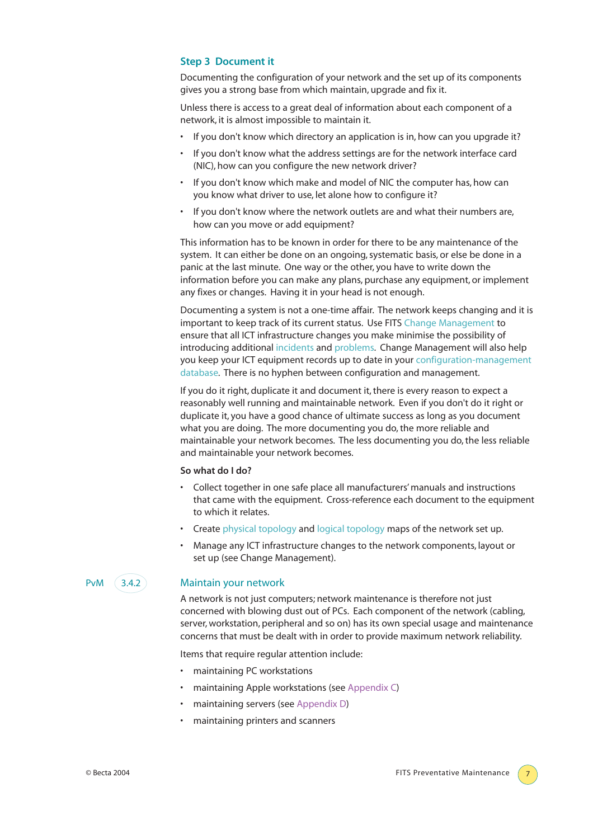#### **Step 3 Document it**

Documenting the configuration of your network and the set up of its components gives you a strong base from which maintain, upgrade and fix it.

Unless there is access to a great deal of information about each component of a network, it is almost impossible to maintain it.

- If you don't know which directory an application is in, how can you upgrade it?
- If you don't know what the address settings are for the network interface card (NIC), how can you configure the new network driver?
- If you don't know which make and model of NIC the computer has, how can you know what driver to use, let alone how to configure it?
- If you don't know where the network outlets are and what their numbers are, how can you move or add equipment?

This information has to be known in order for there to be any maintenance of the system. It can either be done on an ongoing, systematic basis, or else be done in a panic at the last minute. One way or the other, you have to write down the information before you can make any plans, purchase any equipment, or implement any fixes or changes. Having it in your head is not enough.

Documenting a system is not a one-time affair. The network keeps changing and it is important to keep track of its current status. Use FITS Change Management to ensure that all ICT infrastructure changes you make minimise the possibility of introducing additional incidents and problems. Change Management will also help you keep your ICT equipment records up to date in your configuration-management database. There is no hyphen between configuration and management.

If you do it right, duplicate it and document it, there is every reason to expect a reasonably well running and maintainable network. Even if you don't do it right or duplicate it, you have a good chance of ultimate success as long as you document what you are doing. The more documenting you do, the more reliable and maintainable your network becomes. The less documenting you do, the less reliable and maintainable your network becomes.

#### **So what do I do?**

- Collect together in one safe place all manufacturers' manuals and instructions that came with the equipment. Cross-reference each document to the equipment to which it relates.
- Create physical topology and logical topology maps of the network set up.
- Manage any ICT infrastructure changes to the network components, layout or set up (see Change Management).

#### PvM (3.4.2) Maintain your network

A network is not just computers; network maintenance is therefore not just concerned with blowing dust out of PCs. Each component of the network (cabling, server, workstation, peripheral and so on) has its own special usage and maintenance concerns that must be dealt with in order to provide maximum network reliability.

Items that require regular attention include:

- maintaining PC workstations
- maintaining Apple workstations (see Appendix C)
- maintaining servers (see Appendix D)
- maintaining printers and scanners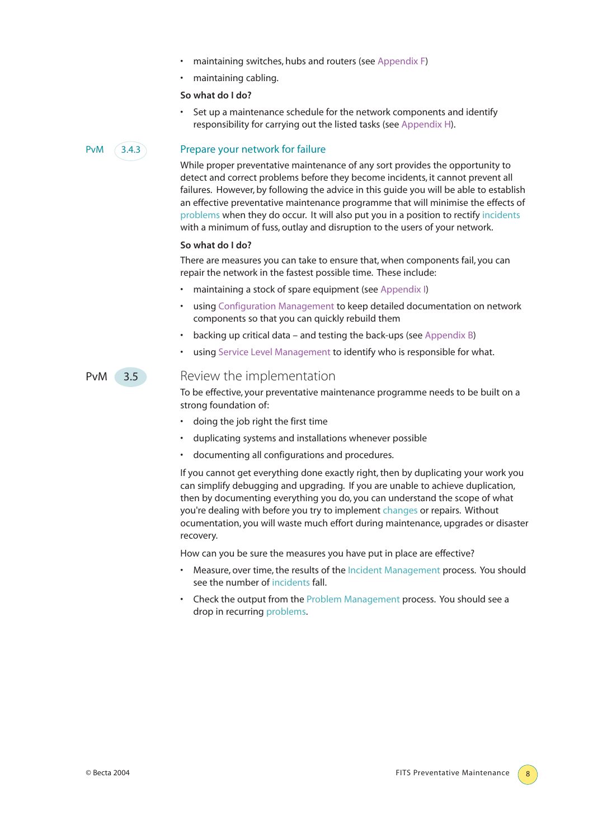- maintaining switches, hubs and routers (see Appendix F)
- maintaining cabling.

#### **So what do I do?**

Set up a maintenance schedule for the network components and identify responsibility for carrying out the listed tasks (see Appendix H).

### PvM 3.4.3 Prepare your network for failure

While proper preventative maintenance of any sort provides the opportunity to detect and correct problems before they become incidents, it cannot prevent all failures. However, by following the advice in this guide you will be able to establish an effective preventative maintenance programme that will minimise the effects of problems when they do occur. It will also put you in a position to rectify incidents with a minimum of fuss, outlay and disruption to the users of your network.

#### **So what do I do?**

There are measures you can take to ensure that, when components fail, you can repair the network in the fastest possible time. These include:

- maintaining a stock of spare equipment (see Appendix I)
- using Configuration Management to keep detailed documentation on network components so that you can quickly rebuild them
- backing up critical data and testing the back-ups (see Appendix B)
- using Service Level Management to identify who is responsible for what.

# PvM 3.5 Review the implementation

To be effective, your preventative maintenance programme needs to be built on a strong foundation of:

- doing the job right the first time
- duplicating systems and installations whenever possible
- documenting all configurations and procedures.

If you cannot get everything done exactly right, then by duplicating your work you can simplify debugging and upgrading. If you are unable to achieve duplication, then by documenting everything you do, you can understand the scope of what you're dealing with before you try to implement changes or repairs. Without ocumentation, you will waste much effort during maintenance, upgrades or disaster recovery.

How can you be sure the measures you have put in place are effective?

- Measure, over time, the results of the Incident Management process. You should see the number of incidents fall.
- Check the output from the Problem Management process. You should see a drop in recurring problems.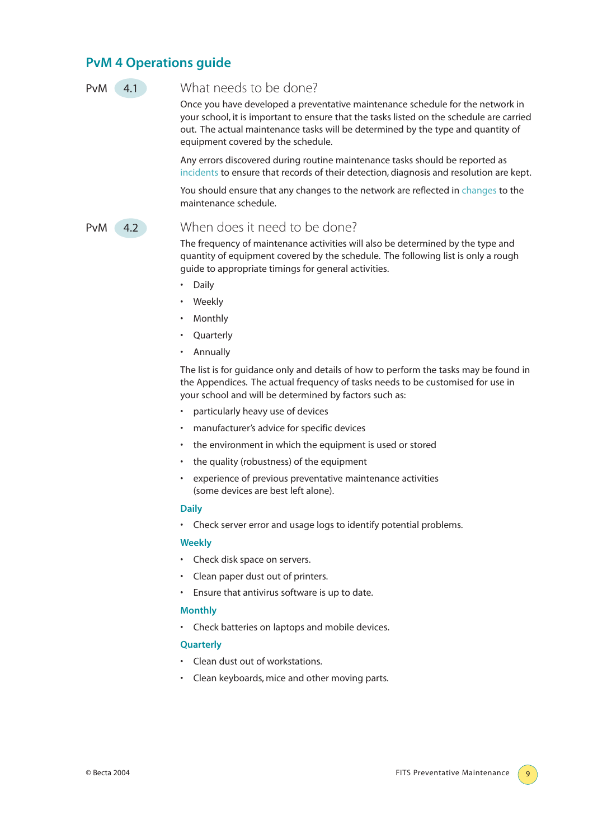# **PvM 4 Operations guide**

### PvM 4.1 What needs to be done?

Once you have developed a preventative maintenance schedule for the network in your school, it is important to ensure that the tasks listed on the schedule are carried out. The actual maintenance tasks will be determined by the type and quantity of equipment covered by the schedule.

Any errors discovered during routine maintenance tasks should be reported as incidents to ensure that records of their detection, diagnosis and resolution are kept.

You should ensure that any changes to the network are reflected in changes to the maintenance schedule.

### PvM 4.2 When does it need to be done?

The frequency of maintenance activities will also be determined by the type and quantity of equipment covered by the schedule. The following list is only a rough guide to appropriate timings for general activities.

- Daily
- **Weekly**
- Monthly
- **Quarterly**
- Annually

The list is for guidance only and details of how to perform the tasks may be found in the Appendices. The actual frequency of tasks needs to be customised for use in your school and will be determined by factors such as:

- particularly heavy use of devices
- manufacturer's advice for specific devices
- the environment in which the equipment is used or stored
- the quality (robustness) of the equipment
- experience of previous preventative maintenance activities (some devices are best left alone).

#### **Daily**

• Check server error and usage logs to identify potential problems.

#### **Weekly**

- Check disk space on servers.
- Clean paper dust out of printers.
- Ensure that antivirus software is up to date.

#### **Monthly**

• Check batteries on laptops and mobile devices.

#### **Quarterly**

- Clean dust out of workstations.
- Clean keyboards, mice and other moving parts.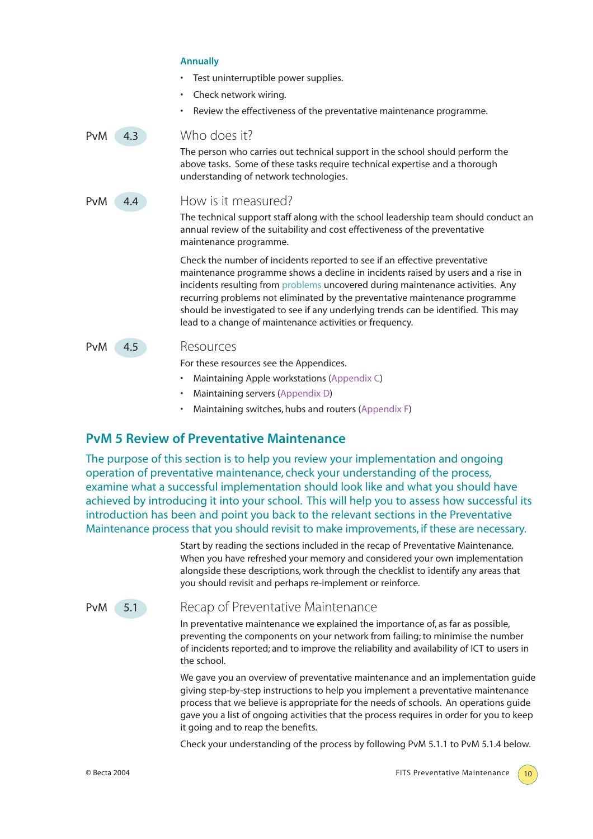|     |     | Test uninterruptible power supplies.<br>Check network wiring.<br>$\bullet$<br>Review the effectiveness of the preventative maintenance programme.                                                                                                                                                                                                                                                                                                                                 |
|-----|-----|-----------------------------------------------------------------------------------------------------------------------------------------------------------------------------------------------------------------------------------------------------------------------------------------------------------------------------------------------------------------------------------------------------------------------------------------------------------------------------------|
| PvM | 4.3 | Who does it?<br>The person who carries out technical support in the school should perform the<br>above tasks. Some of these tasks require technical expertise and a thorough<br>understanding of network technologies.                                                                                                                                                                                                                                                            |
| PvM | 4.4 | How is it measured?<br>The technical support staff along with the school leadership team should conduct an<br>annual review of the suitability and cost effectiveness of the preventative<br>maintenance programme.                                                                                                                                                                                                                                                               |
|     |     | Check the number of incidents reported to see if an effective preventative<br>maintenance programme shows a decline in incidents raised by users and a rise in<br>incidents resulting from problems uncovered during maintenance activities. Any<br>recurring problems not eliminated by the preventative maintenance programme<br>should be investigated to see if any underlying trends can be identified. This may<br>lead to a change of maintenance activities or frequency. |
| PvM | 4.5 | Resources<br>For these resources see the Appendices.<br>Maintaining Apple workstations (Appendix C)                                                                                                                                                                                                                                                                                                                                                                               |

- Maintaining servers (Appendix D)
- Maintaining switches, hubs and routers (Appendix F)

# **PvM 5 Review of Preventative Maintenance**

**Annually**

The purpose of this section is to help you review your implementation and ongoing operation of preventative maintenance, check your understanding of the process, examine what a successful implementation should look like and what you should have achieved by introducing it into your school. This will help you to assess how successful its introduction has been and point you back to the relevant sections in the Preventative Maintenance process that you should revisit to make improvements, if these are necessary.

> Start by reading the sections included in the recap of Preventative Maintenance. When you have refreshed your memory and considered your own implementation alongside these descriptions, work through the checklist to identify any areas that you should revisit and perhaps re-implement or reinforce.

# **PvM** 5.1 Recap of Preventative Maintenance

In preventative maintenance we explained the importance of, as far as possible, preventing the components on your network from failing; to minimise the number of incidents reported; and to improve the reliability and availability of ICT to users in the school.

We gave you an overview of preventative maintenance and an implementation guide giving step-by-step instructions to help you implement a preventative maintenance process that we believe is appropriate for the needs of schools. An operations guide gave you a list of ongoing activities that the process requires in order for you to keep it going and to reap the benefits.

Check your understanding of the process by following PvM 5.1.1 to PvM 5.1.4 below.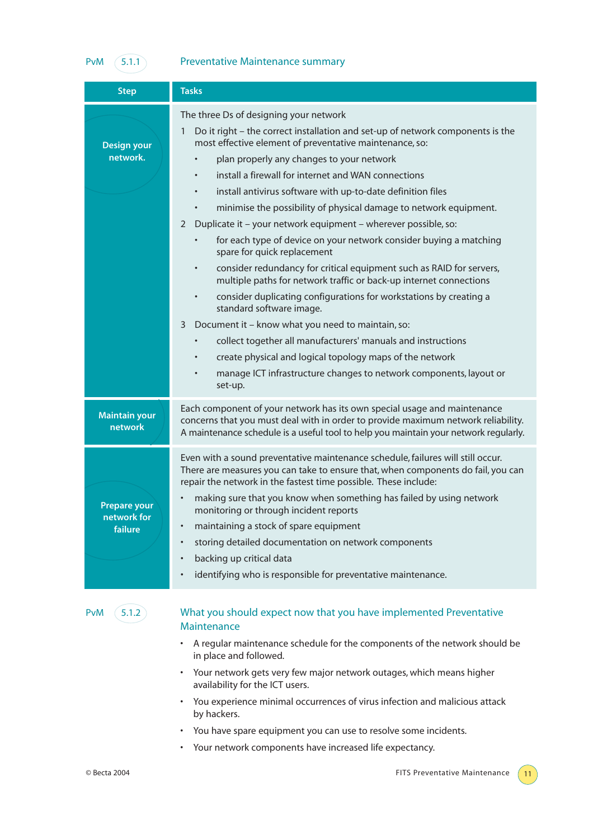# PvM  $(5.1.1)$  Preventative Maintenance summary

| <b>Step</b>                        | <b>Tasks</b>                                                                                                                                                                                                                                          |
|------------------------------------|-------------------------------------------------------------------------------------------------------------------------------------------------------------------------------------------------------------------------------------------------------|
|                                    | The three Ds of designing your network<br>Do it right – the correct installation and set-up of network components is the<br>1                                                                                                                         |
| <b>Design your</b><br>network.     | most effective element of preventative maintenance, so:                                                                                                                                                                                               |
|                                    | plan properly any changes to your network                                                                                                                                                                                                             |
|                                    | install a firewall for internet and WAN connections<br>$\bullet$                                                                                                                                                                                      |
|                                    | install antivirus software with up-to-date definition files                                                                                                                                                                                           |
|                                    | minimise the possibility of physical damage to network equipment.                                                                                                                                                                                     |
|                                    | Duplicate it - your network equipment - wherever possible, so:<br>2                                                                                                                                                                                   |
|                                    | for each type of device on your network consider buying a matching<br>spare for quick replacement                                                                                                                                                     |
|                                    | consider redundancy for critical equipment such as RAID for servers,<br>$\bullet$<br>multiple paths for network traffic or back-up internet connections                                                                                               |
|                                    | consider duplicating configurations for workstations by creating a<br>$\bullet$<br>standard software image.                                                                                                                                           |
|                                    | Document it - know what you need to maintain, so:<br>3                                                                                                                                                                                                |
|                                    | collect together all manufacturers' manuals and instructions<br>٠                                                                                                                                                                                     |
|                                    | create physical and logical topology maps of the network                                                                                                                                                                                              |
|                                    | manage ICT infrastructure changes to network components, layout or<br>set-up.                                                                                                                                                                         |
| <b>Maintain your</b><br>network    | Each component of your network has its own special usage and maintenance<br>concerns that you must deal with in order to provide maximum network reliability.<br>A maintenance schedule is a useful tool to help you maintain your network regularly. |
|                                    | Even with a sound preventative maintenance schedule, failures will still occur.<br>There are measures you can take to ensure that, when components do fail, you can<br>repair the network in the fastest time possible. These include:                |
| <b>Prepare your</b><br>network for | making sure that you know when something has failed by using network<br>٠<br>monitoring or through incident reports                                                                                                                                   |
| failure                            | maintaining a stock of spare equipment                                                                                                                                                                                                                |
|                                    | storing detailed documentation on network components                                                                                                                                                                                                  |
|                                    | backing up critical data                                                                                                                                                                                                                              |
|                                    | identifying who is responsible for preventative maintenance.                                                                                                                                                                                          |
| 5.1.2<br>PvM                       | What you should expect now that you have implemented Preventative<br>Maintenance                                                                                                                                                                      |
|                                    | A regular maintenance schedule for the components of the network should be<br>in place and followed.                                                                                                                                                  |
|                                    | Your network gets very few major network outages, which means higher<br>availability for the ICT users.                                                                                                                                               |
|                                    | You experience minimal occurrences of virus infection and malicious attack<br>by hackers.                                                                                                                                                             |
|                                    | You have spare equipment you can use to resolve some incidents.                                                                                                                                                                                       |

• Your network components have increased life expectancy.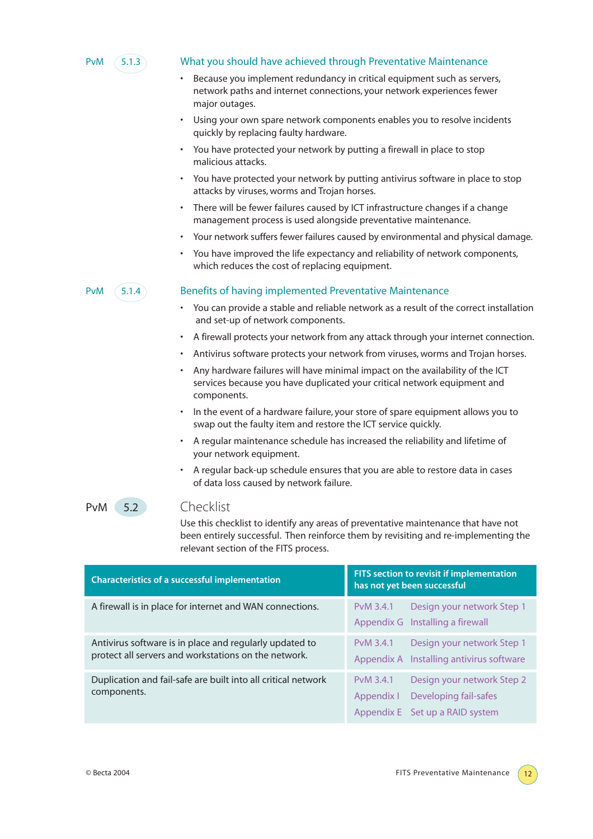

#### PvM 5.1.3 What you should have achieved through Preventative Maintenance

- Because you implement redundancy in critical equipment such as servers, network paths and internet connections, your network experiences fewer major outages.
- Using your own spare network components enables you to resolve incidents quickly by replacing faulty hardware.
- You have protected your network by putting a firewall in place to stop malicious attacks.
- You have protected your network by putting antivirus software in place to stop attacks by viruses, worms and Trojan horses.
- There will be fewer failures caused by ICT infrastructure changes if a change management process is used alongside preventative maintenance.
- Your network suffers fewer failures caused by environmental and physical damage.
- You have improved the life expectancy and reliability of network components, which reduces the cost of replacing equipment.

#### $PVM$   $(5.1.4)$  Benefits of having implemented Preventative Maintenance

- You can provide a stable and reliable network as a result of the correct installation and set-up of network components.
- A firewall protects your network from any attack through your internet connection.
- Antivirus software protects your network from viruses, worms and Trojan horses.
- Any hardware failures will have minimal impact on the availability of the ICT services because you have duplicated your critical network equipment and components.
- In the event of a hardware failure, your store of spare equipment allows you to swap out the faulty item and restore the ICT service quickly.
- A regular maintenance schedule has increased the reliability and lifetime of your network equipment.
- A regular back-up schedule ensures that you are able to restore data in cases of data loss caused by network failure.

#### PvM 5.2 Checklist

Use this checklist to identify any areas of preventative maintenance that have not been entirely successful. Then reinforce them by revisiting and re-implementing the relevant section of the FITS process.

| <b>Characteristics of a successful implementation</b>                                                           | FITS section to revisit if implementation<br>has not yet been successful                                          |  |  |
|-----------------------------------------------------------------------------------------------------------------|-------------------------------------------------------------------------------------------------------------------|--|--|
| A firewall is in place for internet and WAN connections.                                                        | Design your network Step 1<br>PvM 3.4.1<br>Appendix G Installing a firewall                                       |  |  |
| Antivirus software is in place and regularly updated to<br>protect all servers and workstations on the network. | Design your network Step 1<br>PvM 3.4.1<br>Appendix A Installing antivirus software                               |  |  |
| Duplication and fail-safe are built into all critical network<br>components.                                    | PvM 3.4.1<br>Design your network Step 2<br>Developing fail-safes<br>Appendix I<br>Appendix E Set up a RAID system |  |  |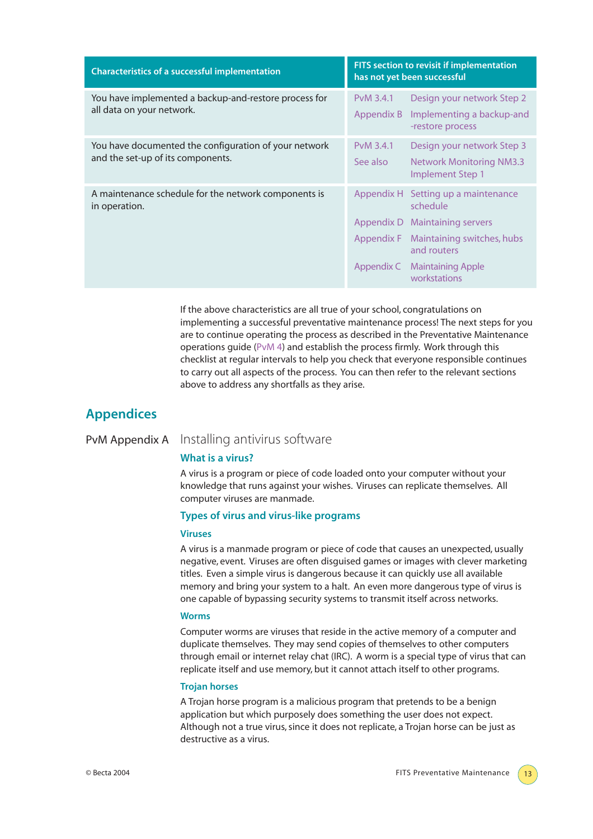| <b>Characteristics of a successful implementation</b>                                      | FITS section to revisit if implementation<br>has not yet been successful |                                                                                                                                                                                   |  |
|--------------------------------------------------------------------------------------------|--------------------------------------------------------------------------|-----------------------------------------------------------------------------------------------------------------------------------------------------------------------------------|--|
| You have implemented a backup-and-restore process for<br>all data on your network.         | PvM 3.4.1<br>Appendix B                                                  | Design your network Step 2<br>Implementing a backup-and<br>-restore process                                                                                                       |  |
| You have documented the configuration of your network<br>and the set-up of its components. | PvM 3.4.1<br>See also                                                    | Design your network Step 3<br><b>Network Monitoring NM3.3</b><br><b>Implement Step 1</b>                                                                                          |  |
| A maintenance schedule for the network components is<br>in operation.                      | Appendix D<br>Appendix C                                                 | Appendix H Setting up a maintenance<br>schedule<br><b>Maintaining servers</b><br>Appendix F Maintaining switches, hubs<br>and routers<br><b>Maintaining Apple</b><br>workstations |  |

If the above characteristics are all true of your school, congratulations on implementing a successful preventative maintenance process! The next steps for you are to continue operating the process as described in the Preventative Maintenance operations guide (PvM 4) and establish the process firmly. Work through this checklist at regular intervals to help you check that everyone responsible continues to carry out all aspects of the process. You can then refer to the relevant sections above to address any shortfalls as they arise.

# **Appendices**

# PvM Appendix A Installing antivirus software

#### **What is a virus?**

A virus is a program or piece of code loaded onto your computer without your knowledge that runs against your wishes. Viruses can replicate themselves. All computer viruses are manmade.

#### **Types of virus and virus-like programs**

#### **Viruses**

A virus is a manmade program or piece of code that causes an unexpected, usually negative, event. Viruses are often disguised games or images with clever marketing titles. Even a simple virus is dangerous because it can quickly use all available memory and bring your system to a halt. An even more dangerous type of virus is one capable of bypassing security systems to transmit itself across networks.

#### **Worms**

Computer worms are viruses that reside in the active memory of a computer and duplicate themselves. They may send copies of themselves to other computers through email or internet relay chat (IRC). A worm is a special type of virus that can replicate itself and use memory, but it cannot attach itself to other programs.

#### **Trojan horses**

A Trojan horse program is a malicious program that pretends to be a benign application but which purposely does something the user does not expect. Although not a true virus, since it does not replicate, a Trojan horse can be just as destructive as a virus.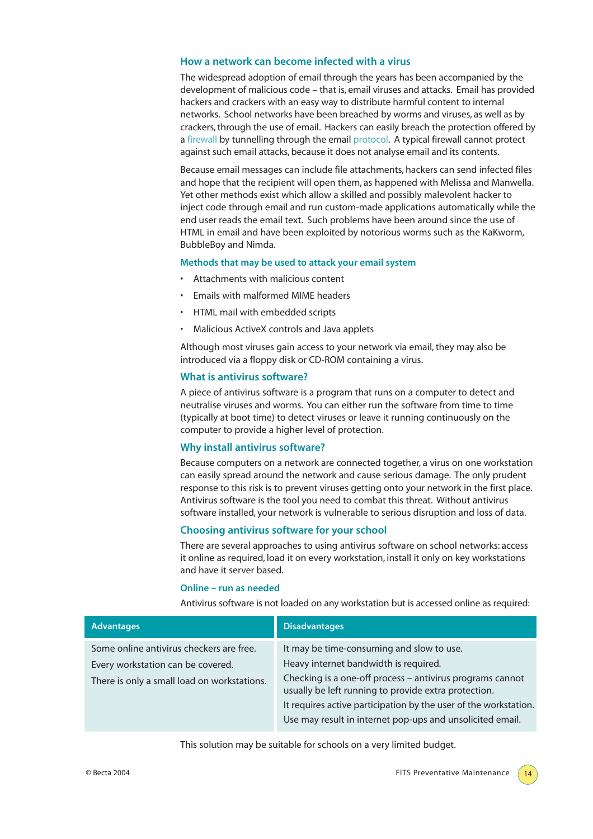#### **How a network can become infected with a virus**

The widespread adoption of email through the years has been accompanied by the development of malicious code – that is, email viruses and attacks. Email has provided hackers and crackers with an easy way to distribute harmful content to internal networks. School networks have been breached by worms and viruses, as well as by crackers, through the use of email. Hackers can easily breach the protection offered by a firewall by tunnelling through the email protocol. A typical firewall cannot protect against such email attacks, because it does not analyse email and its contents.

Because email messages can include file attachments, hackers can send infected files and hope that the recipient will open them, as happened with Melissa and Manwella. Yet other methods exist which allow a skilled and possibly malevolent hacker to inject code through email and run custom-made applications automatically while the end user reads the email text. Such problems have been around since the use of HTML in email and have been exploited by notorious worms such as the KaKworm, BubbleBoy and Nimda.

#### **Methods that may be used to attack your email system**

- Attachments with malicious content
- Emails with malformed MIME headers
- HTML mail with embedded scripts
- Malicious ActiveX controls and Java applets

Although most viruses gain access to your network via email, they may also be introduced via a floppy disk or CD-ROM containing a virus.

#### **What is antivirus software?**

A piece of antivirus software is a program that runs on a computer to detect and neutralise viruses and worms. You can either run the software from time to time (typically at boot time) to detect viruses or leave it running continuously on the computer to provide a higher level of protection.

#### **Why install antivirus software?**

Because computers on a network are connected together, a virus on one workstation can easily spread around the network and cause serious damage. The only prudent response to this risk is to prevent viruses getting onto your network in the first place. Antivirus software is the tool you need to combat this threat. Without antivirus software installed, your network is vulnerable to serious disruption and loss of data.

#### **Choosing antivirus software for your school**

There are several approaches to using antivirus software on school networks: access it online as required, load it on every workstation, install it only on key workstations and have it server based.

#### **Online – run as needed**

Antivirus software is not loaded on any workstation but is accessed online as required:

| <b>Advantages</b>                           | <b>Disadvantages</b>                                                                                              |
|---------------------------------------------|-------------------------------------------------------------------------------------------------------------------|
| Some online antivirus checkers are free.    | It may be time-consuming and slow to use.                                                                         |
| Every workstation can be covered.           | Heavy internet bandwidth is required.                                                                             |
| There is only a small load on workstations. | Checking is a one-off process - antivirus programs cannot<br>usually be left running to provide extra protection. |
|                                             | It requires active participation by the user of the workstation.                                                  |
|                                             | Use may result in internet pop-ups and unsolicited email.                                                         |
|                                             |                                                                                                                   |

This solution may be suitable for schools on a very limited budget.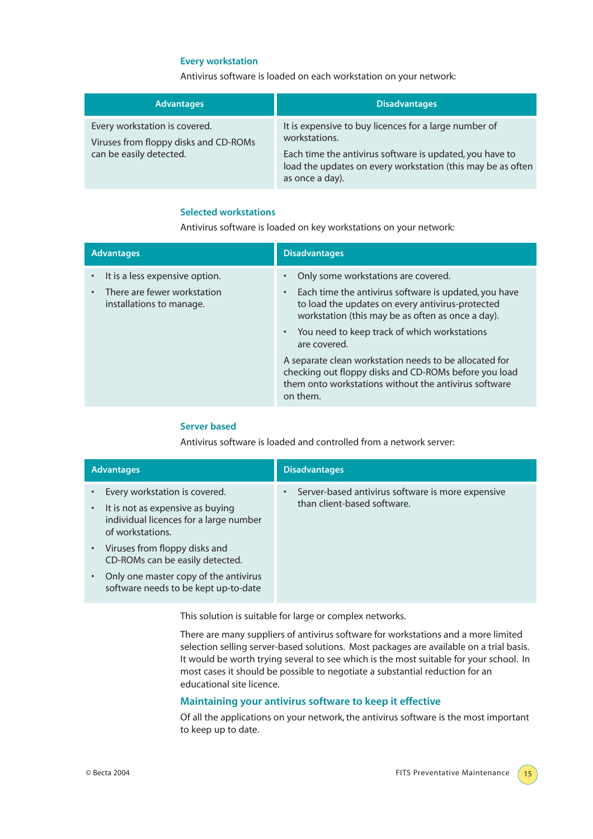#### **Every workstation**

Antivirus software is loaded on each workstation on your network:

| <b>Advantages</b>                                                                                 | Disadvantages                                                                                                                                                                                                        |
|---------------------------------------------------------------------------------------------------|----------------------------------------------------------------------------------------------------------------------------------------------------------------------------------------------------------------------|
| Every workstation is covered.<br>Viruses from floppy disks and CD-ROMs<br>can be easily detected. | It is expensive to buy licences for a large number of<br>workstations.<br>Each time the antivirus software is updated, you have to<br>load the updates on every workstation (this may be as often<br>as once a day). |

#### **Selected workstations**

Antivirus software is loaded on key workstations on your network:

| <b>Advantages</b>                                                                         | <b>Disadvantages</b>                                                                                                                                                                                                                                                                                                                                                                                                                                                         |  |  |
|-------------------------------------------------------------------------------------------|------------------------------------------------------------------------------------------------------------------------------------------------------------------------------------------------------------------------------------------------------------------------------------------------------------------------------------------------------------------------------------------------------------------------------------------------------------------------------|--|--|
| It is a less expensive option.<br>There are fewer workstation<br>installations to manage. | Only some workstations are covered.<br>Each time the antivirus software is updated, you have<br>$\bullet$<br>to load the updates on every antivirus-protected<br>workstation (this may be as often as once a day).<br>• You need to keep track of which workstations<br>are covered.<br>A separate clean workstation needs to be allocated for<br>checking out floppy disks and CD-ROMs before you load<br>them onto workstations without the antivirus software<br>on them. |  |  |

#### **Server based**

Antivirus software is loaded and controlled from a network server:

| <b>Advantages</b>                                                                                                                            | <b>Disadvantages</b>                                                             |  |  |
|----------------------------------------------------------------------------------------------------------------------------------------------|----------------------------------------------------------------------------------|--|--|
| Every workstation is covered.<br>It is not as expensive as buying<br>$\bullet$<br>individual licences for a large number<br>of workstations. | Server-based antivirus software is more expensive<br>than client-based software. |  |  |
| Viruses from floppy disks and<br>$\bullet$<br>CD-ROMs can be easily detected.                                                                |                                                                                  |  |  |
| Only one master copy of the antivirus<br>$\bullet$<br>software needs to be kept up-to-date                                                   |                                                                                  |  |  |

This solution is suitable for large or complex networks.

There are many suppliers of antivirus software for workstations and a more limited selection selling server-based solutions. Most packages are available on a trial basis. It would be worth trying several to see which is the most suitable for your school. In most cases it should be possible to negotiate a substantial reduction for an educational site licence.

#### **Maintaining your antivirus software to keep it effective**

Of all the applications on your network, the antivirus software is the most important to keep up to date.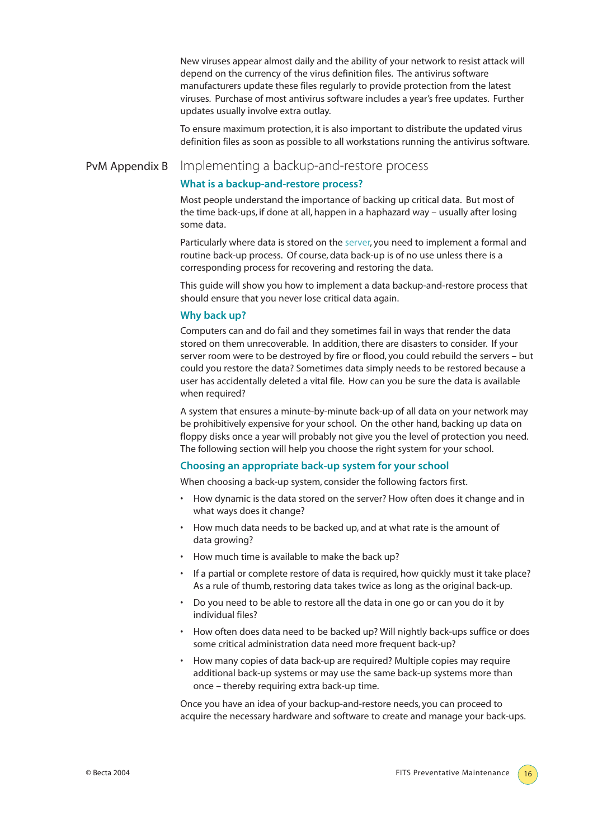New viruses appear almost daily and the ability of your network to resist attack will depend on the currency of the virus definition files. The antivirus software manufacturers update these files regularly to provide protection from the latest viruses. Purchase of most antivirus software includes a year's free updates. Further updates usually involve extra outlay.

To ensure maximum protection, it is also important to distribute the updated virus definition files as soon as possible to all workstations running the antivirus software.

# PvM Appendix B Implementing a backup-and-restore process

#### **What is a backup-and-restore process?**

Most people understand the importance of backing up critical data. But most of the time back-ups, if done at all, happen in a haphazard way – usually after losing some data.

Particularly where data is stored on the server, you need to implement a formal and routine back-up process. Of course, data back-up is of no use unless there is a corresponding process for recovering and restoring the data.

This guide will show you how to implement a data backup-and-restore process that should ensure that you never lose critical data again.

#### **Why back up?**

Computers can and do fail and they sometimes fail in ways that render the data stored on them unrecoverable. In addition, there are disasters to consider. If your server room were to be destroyed by fire or flood, you could rebuild the servers – but could you restore the data? Sometimes data simply needs to be restored because a user has accidentally deleted a vital file. How can you be sure the data is available when required?

A system that ensures a minute-by-minute back-up of all data on your network may be prohibitively expensive for your school. On the other hand, backing up data on floppy disks once a year will probably not give you the level of protection you need. The following section will help you choose the right system for your school.

#### **Choosing an appropriate back-up system for your school**

When choosing a back-up system, consider the following factors first.

- How dynamic is the data stored on the server? How often does it change and in what ways does it change?
- How much data needs to be backed up, and at what rate is the amount of data growing?
- How much time is available to make the back up?
- If a partial or complete restore of data is required, how quickly must it take place? As a rule of thumb, restoring data takes twice as long as the original back-up.
- Do you need to be able to restore all the data in one go or can you do it by individual files?
- How often does data need to be backed up? Will nightly back-ups suffice or does some critical administration data need more frequent back-up?
- How many copies of data back-up are required? Multiple copies may require additional back-up systems or may use the same back-up systems more than once – thereby requiring extra back-up time.

Once you have an idea of your backup-and-restore needs, you can proceed to acquire the necessary hardware and software to create and manage your back-ups.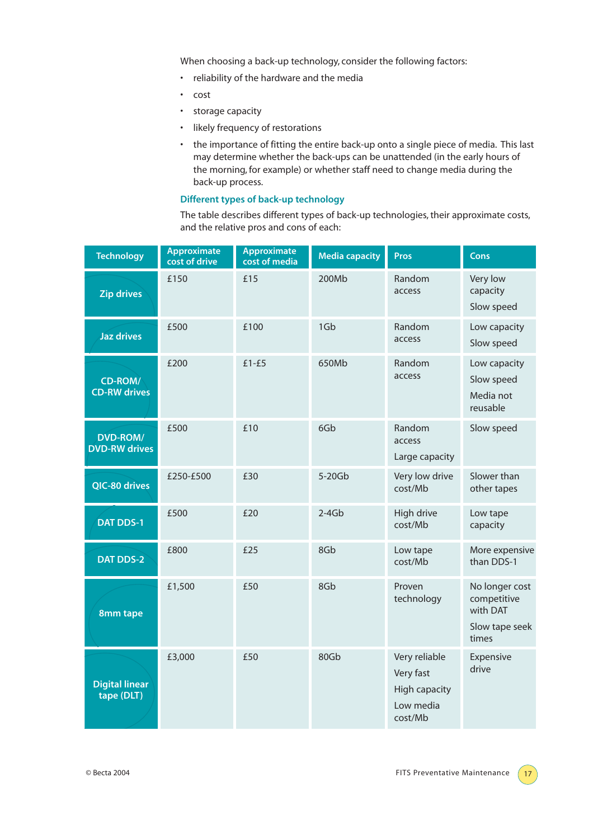When choosing a back-up technology, consider the following factors:

- reliability of the hardware and the media
- cost
- storage capacity
- likely frequency of restorations
- the importance of fitting the entire back-up onto a single piece of media. This last may determine whether the back-ups can be unattended (in the early hours of the morning, for example) or whether staff need to change media during the back-up process.

#### **Different types of back-up technology**

The table describes different types of back-up technologies, their approximate costs, and the relative pros and cons of each:

| <b>Technology</b>                       | <b>Approximate</b><br>cost of drive | <b>Approximate</b><br>cost of media | <b>Media capacity</b> | Pros                                                                       | <b>Cons</b>                                                          |
|-----------------------------------------|-------------------------------------|-------------------------------------|-----------------------|----------------------------------------------------------------------------|----------------------------------------------------------------------|
| <b>Zip drives</b>                       | £150                                | £15                                 | 200Mb                 | Random<br>access                                                           | Very low<br>capacity<br>Slow speed                                   |
| <b>Jaz drives</b>                       | £500                                | £100                                | 1Gb                   | Random<br>access                                                           | Low capacity<br>Slow speed                                           |
| CD-ROM/<br><b>CD-RW</b> drives          | £200                                | $£1-E5$                             | 650Mb                 | Random<br>access                                                           | Low capacity<br>Slow speed<br>Media not<br>reusable                  |
| <b>DVD-ROM/</b><br><b>DVD-RW drives</b> | £500                                | £10                                 | 6Gb                   | Random<br>access<br>Large capacity                                         | Slow speed                                                           |
| QIC-80 drives                           | £250-£500                           | £30                                 | 5-20Gb                | Very low drive<br>cost/Mb                                                  | Slower than<br>other tapes                                           |
| <b>DAT DDS-1</b>                        | £500                                | £20                                 | $2-4Gb$               | High drive<br>cost/Mb                                                      | Low tape<br>capacity                                                 |
| <b>DAT DDS-2</b>                        | £800                                | £25                                 | 8Gb                   | Low tape<br>cost/Mb                                                        | More expensive<br>than DDS-1                                         |
| 8mm tape                                | £1,500                              | £50                                 | 8Gb                   | Proven<br>technology                                                       | No longer cost<br>competitive<br>with DAT<br>Slow tape seek<br>times |
| <b>Digital linear</b><br>tape (DLT)     | £3,000                              | £50                                 | 80Gb                  | Very reliable<br>Very fast<br><b>High capacity</b><br>Low media<br>cost/Mb | Expensive<br>drive                                                   |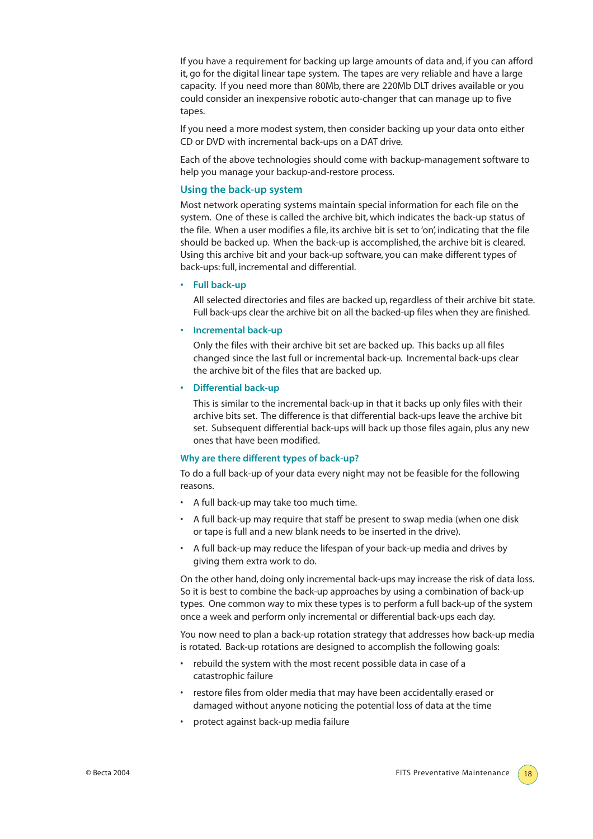If you have a requirement for backing up large amounts of data and, if you can afford it, go for the digital linear tape system. The tapes are very reliable and have a large capacity. If you need more than 80Mb, there are 220Mb DLT drives available or you could consider an inexpensive robotic auto-changer that can manage up to five tapes.

If you need a more modest system, then consider backing up your data onto either CD or DVD with incremental back-ups on a DAT drive.

Each of the above technologies should come with backup-management software to help you manage your backup-and-restore process.

#### **Using the back-up system**

Most network operating systems maintain special information for each file on the system. One of these is called the archive bit, which indicates the back-up status of the file. When a user modifies a file, its archive bit is set to 'on', indicating that the file should be backed up. When the back-up is accomplished, the archive bit is cleared. Using this archive bit and your back-up software, you can make different types of back-ups: full, incremental and differential.

**• Full back-up**

All selected directories and files are backed up, regardless of their archive bit state. Full back-ups clear the archive bit on all the backed-up files when they are finished.

#### **• Incremental back-up**

Only the files with their archive bit set are backed up. This backs up all files changed since the last full or incremental back-up. Incremental back-ups clear the archive bit of the files that are backed up.

#### **• Differential back-up**

This is similar to the incremental back-up in that it backs up only files with their archive bits set. The difference is that differential back-ups leave the archive bit set. Subsequent differential back-ups will back up those files again, plus any new ones that have been modified.

#### **Why are there different types of back-up?**

To do a full back-up of your data every night may not be feasible for the following reasons.

- A full back-up may take too much time.
- A full back-up may require that staff be present to swap media (when one disk or tape is full and a new blank needs to be inserted in the drive).
- A full back-up may reduce the lifespan of your back-up media and drives by giving them extra work to do.

On the other hand, doing only incremental back-ups may increase the risk of data loss. So it is best to combine the back-up approaches by using a combination of back-up types. One common way to mix these types is to perform a full back-up of the system once a week and perform only incremental or differential back-ups each day.

You now need to plan a back-up rotation strategy that addresses how back-up media is rotated. Back-up rotations are designed to accomplish the following goals:

- rebuild the system with the most recent possible data in case of a catastrophic failure
- restore files from older media that may have been accidentally erased or damaged without anyone noticing the potential loss of data at the time
- protect against back-up media failure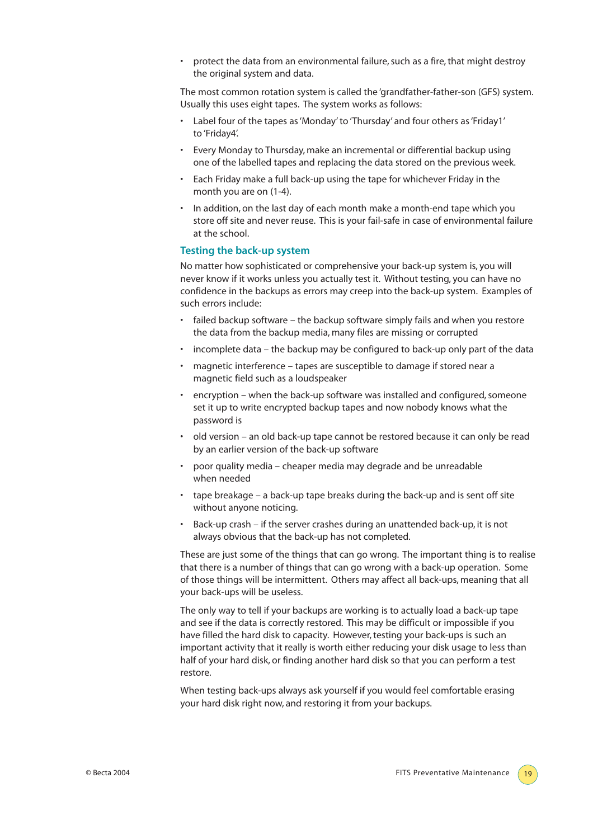• protect the data from an environmental failure, such as a fire, that might destroy the original system and data.

The most common rotation system is called the 'grandfather-father-son (GFS) system. Usually this uses eight tapes. The system works as follows:

- Label four of the tapes as 'Monday' to 'Thursday' and four others as 'Friday1' to 'Friday4'.
- Every Monday to Thursday, make an incremental or differential backup using one of the labelled tapes and replacing the data stored on the previous week.
- Each Friday make a full back-up using the tape for whichever Friday in the month you are on (1-4).
- In addition, on the last day of each month make a month-end tape which you store off site and never reuse. This is your fail-safe in case of environmental failure at the school.

#### **Testing the back-up system**

No matter how sophisticated or comprehensive your back-up system is, you will never know if it works unless you actually test it. Without testing, you can have no confidence in the backups as errors may creep into the back-up system. Examples of such errors include:

- failed backup software the backup software simply fails and when you restore the data from the backup media, many files are missing or corrupted
- incomplete data the backup may be configured to back-up only part of the data
- magnetic interference tapes are susceptible to damage if stored near a magnetic field such as a loudspeaker
- encryption when the back-up software was installed and configured, someone set it up to write encrypted backup tapes and now nobody knows what the password is
- old version an old back-up tape cannot be restored because it can only be read by an earlier version of the back-up software
- poor quality media cheaper media may degrade and be unreadable when needed
- tape breakage a back-up tape breaks during the back-up and is sent off site without anyone noticing.
- Back-up crash if the server crashes during an unattended back-up, it is not always obvious that the back-up has not completed.

These are just some of the things that can go wrong. The important thing is to realise that there is a number of things that can go wrong with a back-up operation. Some of those things will be intermittent. Others may affect all back-ups, meaning that all your back-ups will be useless.

The only way to tell if your backups are working is to actually load a back-up tape and see if the data is correctly restored. This may be difficult or impossible if you have filled the hard disk to capacity. However, testing your back-ups is such an important activity that it really is worth either reducing your disk usage to less than half of your hard disk, or finding another hard disk so that you can perform a test restore.

When testing back-ups always ask yourself if you would feel comfortable erasing your hard disk right now, and restoring it from your backups.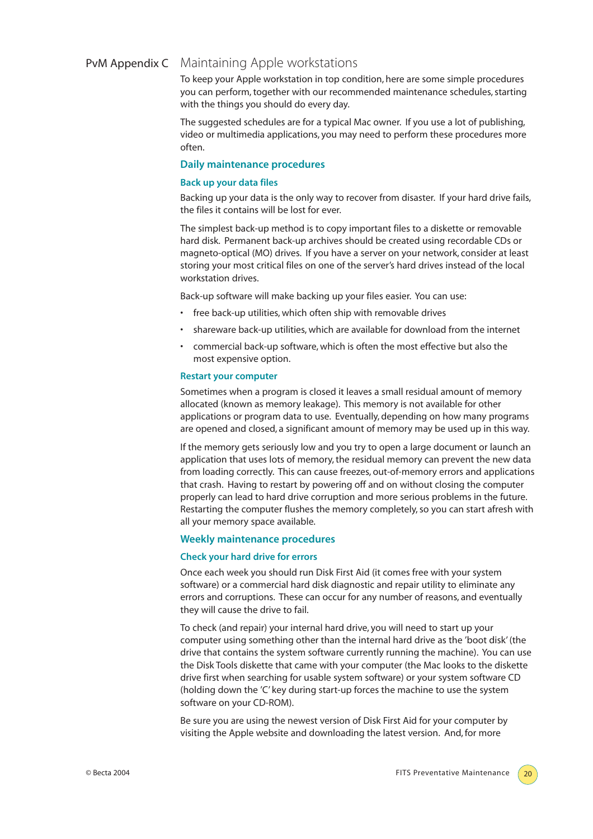# PvM Appendix C Maintaining Apple workstations

To keep your Apple workstation in top condition, here are some simple procedures you can perform,together with our recommended maintenance schedules, starting with the things you should do every day.

The suggested schedules are for a typical Mac owner. If you use a lot of publishing, video or multimedia applications, you may need to perform these procedures more often.

#### **Daily maintenance procedures**

#### **Back up your data files**

Backing up your data is the only way to recover from disaster. If your hard drive fails, the files it contains will be lost for ever.

The simplest back-up method is to copy important files to a diskette or removable hard disk. Permanent back-up archives should be created using recordable CDs or magneto-optical (MO) drives. If you have a server on your network, consider at least storing your most critical files on one of the server's hard drives instead of the local workstation drives.

Back-up software will make backing up your files easier. You can use:

- free back-up utilities, which often ship with removable drives
- shareware back-up utilities, which are available for download from the internet
- commercial back-up software, which is often the most effective but also the most expensive option.

#### **Restart your computer**

Sometimes when a program is closed it leaves a small residual amount of memory allocated (known as memory leakage). This memory is not available for other applications or program data to use. Eventually, depending on how many programs are opened and closed, a significant amount of memory may be used up in this way.

If the memory gets seriously low and you try to open a large document or launch an application that uses lots of memory, the residual memory can prevent the new data from loading correctly. This can cause freezes, out-of-memory errors and applications that crash. Having to restart by powering off and on without closing the computer properly can lead to hard drive corruption and more serious problems in the future. Restarting the computer flushes the memory completely, so you can start afresh with all your memory space available.

#### **Weekly maintenance procedures**

#### **Check your hard drive for errors**

Once each week you should run Disk First Aid (it comes free with your system software) or a commercial hard disk diagnostic and repair utility to eliminate any errors and corruptions. These can occur for any number of reasons, and eventually they will cause the drive to fail.

To check (and repair) your internal hard drive, you will need to start up your computer using something other than the internal hard drive as the 'boot disk' (the drive that contains the system software currently running the machine). You can use the Disk Tools diskette that came with your computer (the Mac looks to the diskette drive first when searching for usable system software) or your system software CD (holding down the 'C' key during start-up forces the machine to use the system software on your CD-ROM).

Be sure you are using the newest version of Disk First Aid for your computer by visiting the Apple website and downloading the latest version. And, for more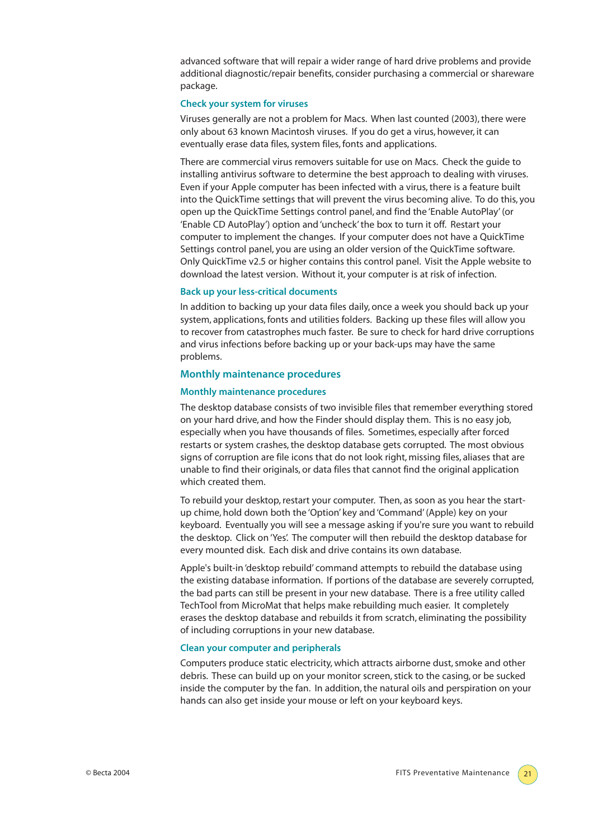advanced software that will repair a wider range of hard drive problems and provide additional diagnostic/repair benefits, consider purchasing a commercial or shareware package.

#### **Check your system for viruses**

Viruses generally are not a problem for Macs. When last counted (2003), there were only about 63 known Macintosh viruses. If you do get a virus, however, it can eventually erase data files, system files, fonts and applications.

There are commercial virus removers suitable for use on Macs. Check the guide to installing antivirus software to determine the best approach to dealing with viruses. Even if your Apple computer has been infected with a virus, there is a feature built into the QuickTime settings that will prevent the virus becoming alive. To do this, you open up the QuickTime Settings control panel, and find the 'Enable AutoPlay' (or 'Enable CD AutoPlay') option and 'uncheck' the box to turn it off. Restart your computer to implement the changes. If your computer does not have a QuickTime Settings control panel, you are using an older version of the QuickTime software. Only QuickTime v2.5 or higher contains this control panel. Visit the Apple website to download the latest version. Without it, your computer is at risk of infection.

#### **Back up your less-critical documents**

In addition to backing up your data files daily, once a week you should back up your system, applications, fonts and utilities folders. Backing up these files will allow you to recover from catastrophes much faster. Be sure to check for hard drive corruptions and virus infections before backing up or your back-ups may have the same problems.

#### **Monthly maintenance procedures**

#### **Monthly maintenance procedures**

The desktop database consists of two invisible files that remember everything stored on your hard drive, and how the Finder should display them. This is no easy job, especially when you have thousands of files. Sometimes, especially after forced restarts or system crashes, the desktop database gets corrupted. The most obvious signs of corruption are file icons that do not look right, missing files, aliases that are unable to find their originals, or data files that cannot find the original application which created them.

To rebuild your desktop, restart your computer. Then, as soon as you hear the startup chime, hold down both the 'Option' key and 'Command' (Apple) key on your keyboard. Eventually you will see a message asking if you're sure you want to rebuild the desktop. Click on 'Yes'. The computer will then rebuild the desktop database for every mounted disk. Each disk and drive contains its own database.

Apple's built-in 'desktop rebuild' command attempts to rebuild the database using the existing database information. If portions of the database are severely corrupted, the bad parts can still be present in your new database. There is a free utility called TechTool from MicroMat that helps make rebuilding much easier. It completely erases the desktop database and rebuilds it from scratch, eliminating the possibility of including corruptions in your new database.

#### **Clean your computer and peripherals**

Computers produce static electricity, which attracts airborne dust, smoke and other debris. These can build up on your monitor screen, stick to the casing, or be sucked inside the computer by the fan. In addition, the natural oils and perspiration on your hands can also get inside your mouse or left on your keyboard keys.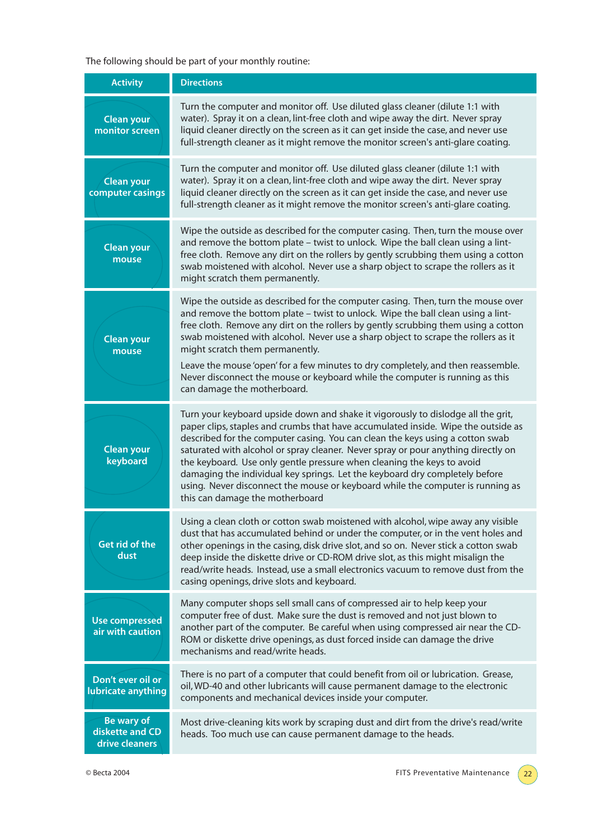The following should be part of your monthly routine:

| <b>Activity</b>                                        | <b>Directions</b>                                                                                                                                                                                                                                                                                                                                                                                                                                                                                                                                                                                                         |
|--------------------------------------------------------|---------------------------------------------------------------------------------------------------------------------------------------------------------------------------------------------------------------------------------------------------------------------------------------------------------------------------------------------------------------------------------------------------------------------------------------------------------------------------------------------------------------------------------------------------------------------------------------------------------------------------|
| <b>Clean your</b><br>monitor screen                    | Turn the computer and monitor off. Use diluted glass cleaner (dilute 1:1 with<br>water). Spray it on a clean, lint-free cloth and wipe away the dirt. Never spray<br>liquid cleaner directly on the screen as it can get inside the case, and never use<br>full-strength cleaner as it might remove the monitor screen's anti-glare coating.                                                                                                                                                                                                                                                                              |
| <b>Clean your</b><br>computer casings                  | Turn the computer and monitor off. Use diluted glass cleaner (dilute 1:1 with<br>water). Spray it on a clean, lint-free cloth and wipe away the dirt. Never spray<br>liquid cleaner directly on the screen as it can get inside the case, and never use<br>full-strength cleaner as it might remove the monitor screen's anti-glare coating.                                                                                                                                                                                                                                                                              |
| <b>Clean your</b><br>mouse                             | Wipe the outside as described for the computer casing. Then, turn the mouse over<br>and remove the bottom plate - twist to unlock. Wipe the ball clean using a lint-<br>free cloth. Remove any dirt on the rollers by gently scrubbing them using a cotton<br>swab moistened with alcohol. Never use a sharp object to scrape the rollers as it<br>might scratch them permanently.                                                                                                                                                                                                                                        |
| <b>Clean your</b><br>mouse                             | Wipe the outside as described for the computer casing. Then, turn the mouse over<br>and remove the bottom plate - twist to unlock. Wipe the ball clean using a lint-<br>free cloth. Remove any dirt on the rollers by gently scrubbing them using a cotton<br>swab moistened with alcohol. Never use a sharp object to scrape the rollers as it<br>might scratch them permanently.<br>Leave the mouse 'open' for a few minutes to dry completely, and then reassemble.<br>Never disconnect the mouse or keyboard while the computer is running as this<br>can damage the motherboard.                                     |
| <b>Clean your</b><br>keyboard                          | Turn your keyboard upside down and shake it vigorously to dislodge all the grit,<br>paper clips, staples and crumbs that have accumulated inside. Wipe the outside as<br>described for the computer casing. You can clean the keys using a cotton swab<br>saturated with alcohol or spray cleaner. Never spray or pour anything directly on<br>the keyboard. Use only gentle pressure when cleaning the keys to avoid<br>damaging the individual key springs. Let the keyboard dry completely before<br>using. Never disconnect the mouse or keyboard while the computer is running as<br>this can damage the motherboard |
| <b>Get rid of the</b><br>dust                          | Using a clean cloth or cotton swab moistened with alcohol, wipe away any visible<br>dust that has accumulated behind or under the computer, or in the vent holes and<br>other openings in the casing, disk drive slot, and so on. Never stick a cotton swab<br>deep inside the diskette drive or CD-ROM drive slot, as this might misalign the<br>read/write heads. Instead, use a small electronics vacuum to remove dust from the<br>casing openings, drive slots and keyboard.                                                                                                                                         |
| <b>Use compressed</b><br>air with caution              | Many computer shops sell small cans of compressed air to help keep your<br>computer free of dust. Make sure the dust is removed and not just blown to<br>another part of the computer. Be careful when using compressed air near the CD-<br>ROM or diskette drive openings, as dust forced inside can damage the drive<br>mechanisms and read/write heads.                                                                                                                                                                                                                                                                |
| Don't ever oil or<br>lubricate anything                | There is no part of a computer that could benefit from oil or lubrication. Grease,<br>oil, WD-40 and other lubricants will cause permanent damage to the electronic<br>components and mechanical devices inside your computer.                                                                                                                                                                                                                                                                                                                                                                                            |
| <b>Be wary of</b><br>diskette and CD<br>drive cleaners | Most drive-cleaning kits work by scraping dust and dirt from the drive's read/write<br>heads. Too much use can cause permanent damage to the heads.                                                                                                                                                                                                                                                                                                                                                                                                                                                                       |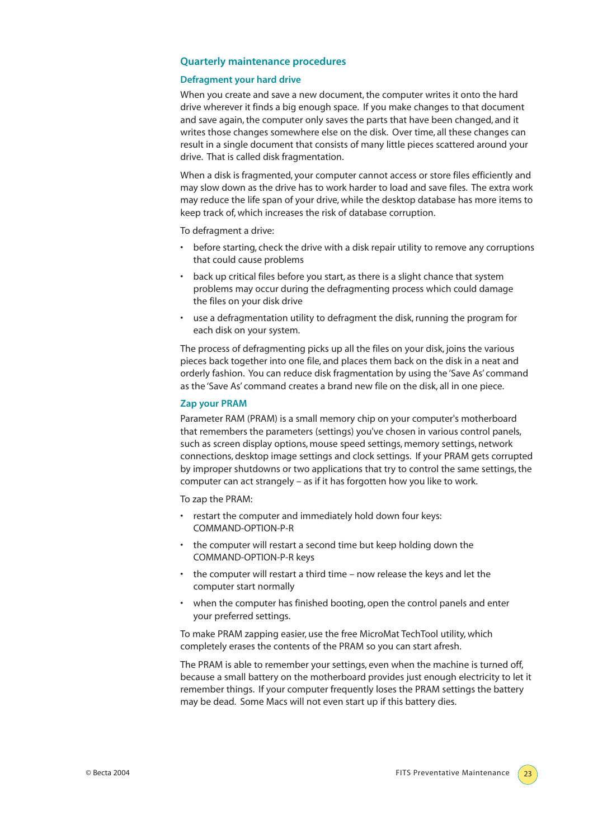#### **Quarterly maintenance procedures**

#### **Defragment your hard drive**

When you create and save a new document, the computer writes it onto the hard drive wherever it finds a big enough space. If you make changes to that document and save again, the computer only saves the parts that have been changed, and it writes those changes somewhere else on the disk. Over time, all these changes can result in a single document that consists of many little pieces scattered around your drive. That is called disk fragmentation.

When a disk is fragmented, your computer cannot access or store files efficiently and may slow down as the drive has to work harder to load and save files. The extra work may reduce the life span of your drive, while the desktop database has more items to keep track of, which increases the risk of database corruption.

To defragment a drive:

- before starting, check the drive with a disk repair utility to remove any corruptions that could cause problems
- back up critical files before you start, as there is a slight chance that system problems may occur during the defragmenting process which could damage the files on your disk drive
- use a defragmentation utility to defragment the disk, running the program for each disk on your system.

The process of defragmenting picks up all the files on your disk, joins the various pieces back together into one file, and places them back on the disk in a neat and orderly fashion. You can reduce disk fragmentation by using the 'Save As' command as the 'Save As' command creates a brand new file on the disk, all in one piece.

#### **Zap your PRAM**

Parameter RAM (PRAM) is a small memory chip on your computer's motherboard that remembers the parameters (settings) you've chosen in various control panels, such as screen display options, mouse speed settings, memory settings, network connections, desktop image settings and clock settings. If your PRAM gets corrupted by improper shutdowns or two applications that try to control the same settings, the computer can act strangely – as if it has forgotten how you like to work.

To zap the PRAM:

- restart the computer and immediately hold down four keys: COMMAND-OPTION-P-R
- the computer will restart a second time but keep holding down the COMMAND-OPTION-P-R keys
- the computer will restart a third time now release the keys and let the computer start normally
- when the computer has finished booting, open the control panels and enter your preferred settings.

To make PRAM zapping easier, use the free MicroMat TechTool utility, which completely erases the contents of the PRAM so you can start afresh.

The PRAM is able to remember your settings, even when the machine is turned off, because a small battery on the motherboard provides just enough electricity to let it remember things. If your computer frequently loses the PRAM settings the battery may be dead. Some Macs will not even start up if this battery dies.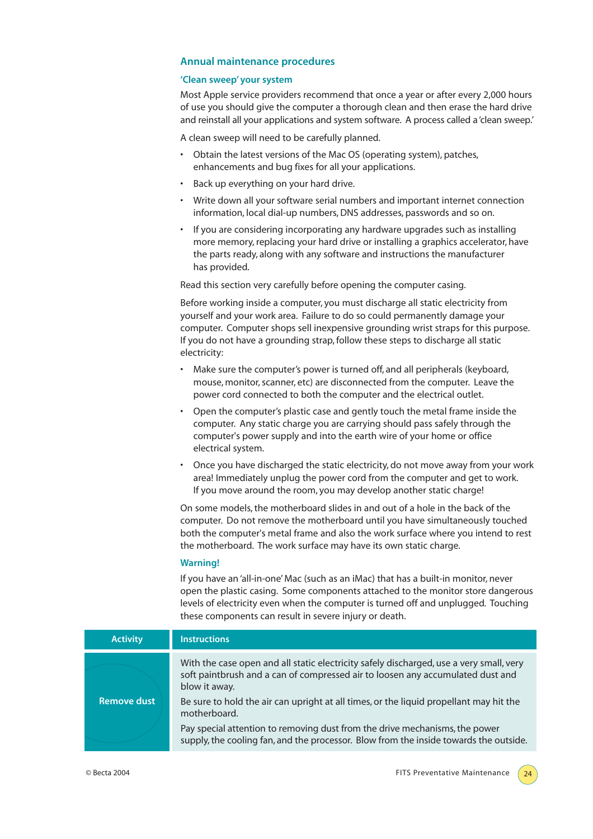#### **Annual maintenance procedures**

#### **'Clean sweep' your system**

Most Apple service providers recommend that once a year or after every 2,000 hours of use you should give the computer a thorough clean and then erase the hard drive and reinstall all your applications and system software. A process called a 'clean sweep.'

A clean sweep will need to be carefully planned.

- Obtain the latest versions of the Mac OS (operating system), patches, enhancements and bug fixes for all your applications.
- Back up everything on your hard drive.
- Write down all your software serial numbers and important internet connection information, local dial-up numbers, DNS addresses, passwords and so on.
- If you are considering incorporating any hardware upgrades such as installing more memory, replacing your hard drive or installing a graphics accelerator, have the parts ready, along with any software and instructions the manufacturer has provided.

Read this section very carefully before opening the computer casing.

Before working inside a computer, you must discharge all static electricity from yourself and your work area. Failure to do so could permanently damage your computer. Computer shops sell inexpensive grounding wrist straps for this purpose. If you do not have a grounding strap, follow these steps to discharge all static electricity:

- Make sure the computer's power is turned off, and all peripherals (keyboard, mouse, monitor, scanner, etc) are disconnected from the computer. Leave the power cord connected to both the computer and the electrical outlet.
- Open the computer's plastic case and gently touch the metal frame inside the computer. Any static charge you are carrying should pass safely through the computer's power supply and into the earth wire of your home or office electrical system.
- Once you have discharged the static electricity, do not move away from your work area! Immediately unplug the power cord from the computer and get to work. If you move around the room, you may develop another static charge!

On some models, the motherboard slides in and out of a hole in the back of the computer. Do not remove the motherboard until you have simultaneously touched both the computer's metal frame and also the work surface where you intend to rest the motherboard. The work surface may have its own static charge.

#### **Warning!**

If you have an 'all-in-one' Mac (such as an iMac) that has a built-in monitor, never open the plastic casing. Some components attached to the monitor store dangerous levels of electricity even when the computer is turned off and unplugged. Touching these components can result in severe injury or death.

| <b>Activity</b>    | <b>Instructions</b>                                                                                                                                                                        |
|--------------------|--------------------------------------------------------------------------------------------------------------------------------------------------------------------------------------------|
|                    | With the case open and all static electricity safely discharged, use a very small, very<br>soft paintbrush and a can of compressed air to loosen any accumulated dust and<br>blow it away. |
| <b>Remove dust</b> | Be sure to hold the air can upright at all times, or the liquid propellant may hit the<br>motherboard.                                                                                     |
|                    | Pay special attention to removing dust from the drive mechanisms, the power<br>supply, the cooling fan, and the processor. Blow from the inside towards the outside.                       |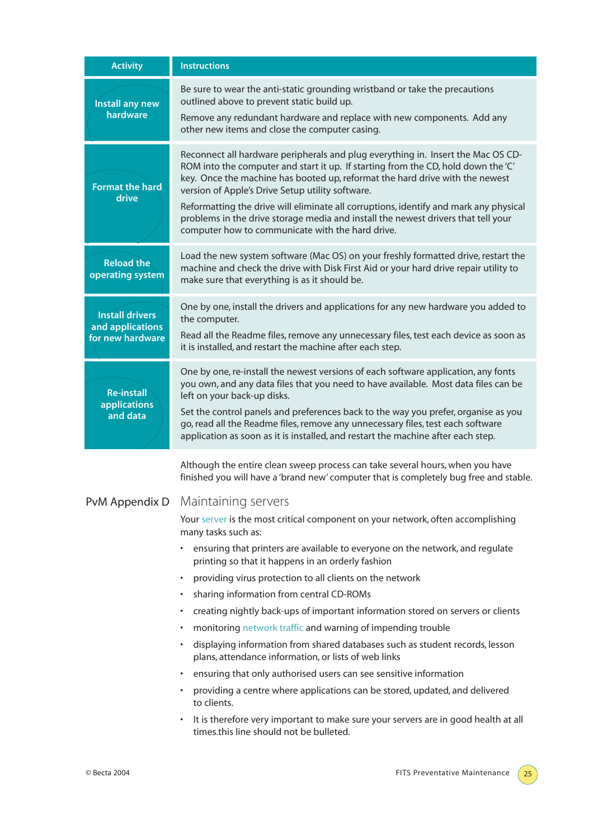| <b>Activity</b>                                                | <b>Instructions</b>                                                                                                                                                                                                                                                                                                                                                                                                                                                                                                                                                                                                                                                                                                                                                                                                                                                                                                                                                                                                                                                                                                                                                            |
|----------------------------------------------------------------|--------------------------------------------------------------------------------------------------------------------------------------------------------------------------------------------------------------------------------------------------------------------------------------------------------------------------------------------------------------------------------------------------------------------------------------------------------------------------------------------------------------------------------------------------------------------------------------------------------------------------------------------------------------------------------------------------------------------------------------------------------------------------------------------------------------------------------------------------------------------------------------------------------------------------------------------------------------------------------------------------------------------------------------------------------------------------------------------------------------------------------------------------------------------------------|
| Install any new<br>hardware                                    | Be sure to wear the anti-static grounding wristband or take the precautions<br>outlined above to prevent static build up.<br>Remove any redundant hardware and replace with new components. Add any<br>other new items and close the computer casing.                                                                                                                                                                                                                                                                                                                                                                                                                                                                                                                                                                                                                                                                                                                                                                                                                                                                                                                          |
| <b>Format the hard</b><br>drive                                | Reconnect all hardware peripherals and plug everything in. Insert the Mac OS CD-<br>ROM into the computer and start it up. If starting from the CD, hold down the 'C'<br>key. Once the machine has booted up, reformat the hard drive with the newest<br>version of Apple's Drive Setup utility software.<br>Reformatting the drive will eliminate all corruptions, identify and mark any physical<br>problems in the drive storage media and install the newest drivers that tell your<br>computer how to communicate with the hard drive.                                                                                                                                                                                                                                                                                                                                                                                                                                                                                                                                                                                                                                    |
| <b>Reload the</b><br>operating system                          | Load the new system software (Mac OS) on your freshly formatted drive, restart the<br>machine and check the drive with Disk First Aid or your hard drive repair utility to<br>make sure that everything is as it should be.                                                                                                                                                                                                                                                                                                                                                                                                                                                                                                                                                                                                                                                                                                                                                                                                                                                                                                                                                    |
| <b>Install drivers</b><br>and applications<br>for new hardware | One by one, install the drivers and applications for any new hardware you added to<br>the computer.<br>Read all the Readme files, remove any unnecessary files, test each device as soon as<br>it is installed, and restart the machine after each step.                                                                                                                                                                                                                                                                                                                                                                                                                                                                                                                                                                                                                                                                                                                                                                                                                                                                                                                       |
| <b>Re-install</b><br><b>applications</b><br>and data           | One by one, re-install the newest versions of each software application, any fonts<br>you own, and any data files that you need to have available. Most data files can be<br>left on your back-up disks.<br>Set the control panels and preferences back to the way you prefer, organise as you<br>go, read all the Readme files, remove any unnecessary files, test each software<br>application as soon as it is installed, and restart the machine after each step.                                                                                                                                                                                                                                                                                                                                                                                                                                                                                                                                                                                                                                                                                                          |
|                                                                | Although the entire clean sweep process can take several hours, when you have<br>finished you will have a 'brand new' computer that is completely bug free and stable.<br>PvM Appendix D Maintaining servers<br>Your server is the most critical component on your network, often accomplishing<br>many tasks such as:<br>• ensuring that printers are available to everyone on the network, and regulate<br>printing so that it happens in an orderly fashion<br>providing virus protection to all clients on the network<br>sharing information from central CD-ROMs<br>creating nightly back-ups of important information stored on servers or clients<br>٠<br>monitoring network traffic and warning of impending trouble<br>٠<br>displaying information from shared databases such as student records, lesson<br>plans, attendance information, or lists of web links<br>ensuring that only authorised users can see sensitive information<br>providing a centre where applications can be stored, updated, and delivered<br>to clients.<br>It is therefore very important to make sure your servers are in good health at all<br>times.this line should not be bulleted. |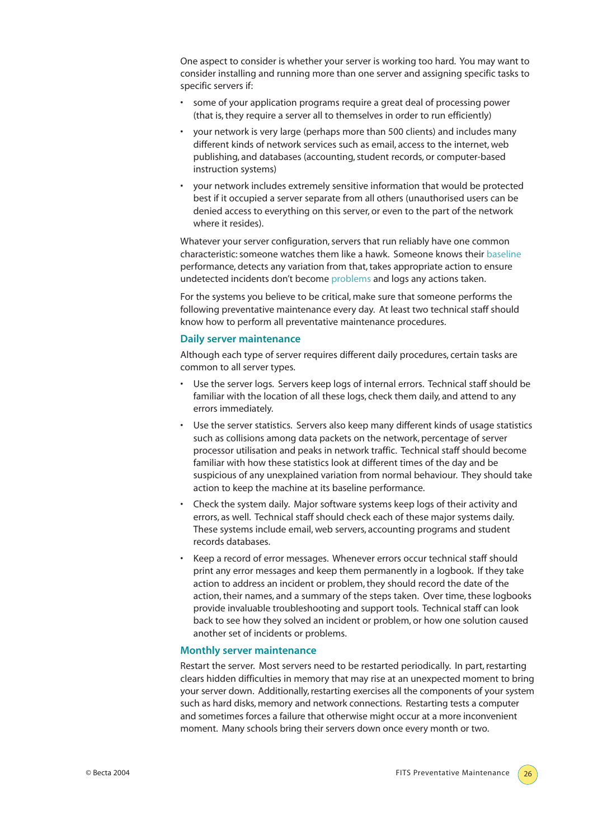One aspect to consider is whether your server is working too hard. You may want to consider installing and running more than one server and assigning specific tasks to specific servers if:

- some of your application programs require a great deal of processing power (that is, they require a server all to themselves in order to run efficiently)
- your network is very large (perhaps more than 500 clients) and includes many different kinds of network services such as email, access to the internet, web publishing, and databases (accounting, student records, or computer-based instruction systems)
- your network includes extremely sensitive information that would be protected best if it occupied a server separate from all others (unauthorised users can be denied access to everything on this server, or even to the part of the network where it resides).

Whatever your server configuration, servers that run reliably have one common characteristic: someone watches them like a hawk. Someone knows their baseline performance, detects any variation from that, takes appropriate action to ensure undetected incidents don't become problems and logs any actions taken.

For the systems you believe to be critical, make sure that someone performs the following preventative maintenance every day. At least two technical staff should know how to perform all preventative maintenance procedures.

#### **Daily server maintenance**

Although each type of server requires different daily procedures, certain tasks are common to all server types.

- Use the server logs. Servers keep logs of internal errors. Technical staff should be familiar with the location of all these logs, check them daily, and attend to any errors immediately.
- Use the server statistics. Servers also keep many different kinds of usage statistics such as collisions among data packets on the network, percentage of server processor utilisation and peaks in network traffic. Technical staff should become familiar with how these statistics look at different times of the day and be suspicious of any unexplained variation from normal behaviour. They should take action to keep the machine at its baseline performance.
- Check the system daily. Major software systems keep logs of their activity and errors, as well. Technical staff should check each of these major systems daily. These systems include email, web servers, accounting programs and student records databases.
- Keep a record of error messages. Whenever errors occur technical staff should print any error messages and keep them permanently in a logbook. If they take action to address an incident or problem, they should record the date of the action, their names, and a summary of the steps taken. Over time, these logbooks provide invaluable troubleshooting and support tools. Technical staff can look back to see how they solved an incident or problem, or how one solution caused another set of incidents or problems.

#### **Monthly server maintenance**

Restart the server. Most servers need to be restarted periodically. In part, restarting clears hidden difficulties in memory that may rise at an unexpected moment to bring your server down. Additionally, restarting exercises all the components of your system such as hard disks, memory and network connections. Restarting tests a computer and sometimes forces a failure that otherwise might occur at a more inconvenient moment. Many schools bring their servers down once every month or two.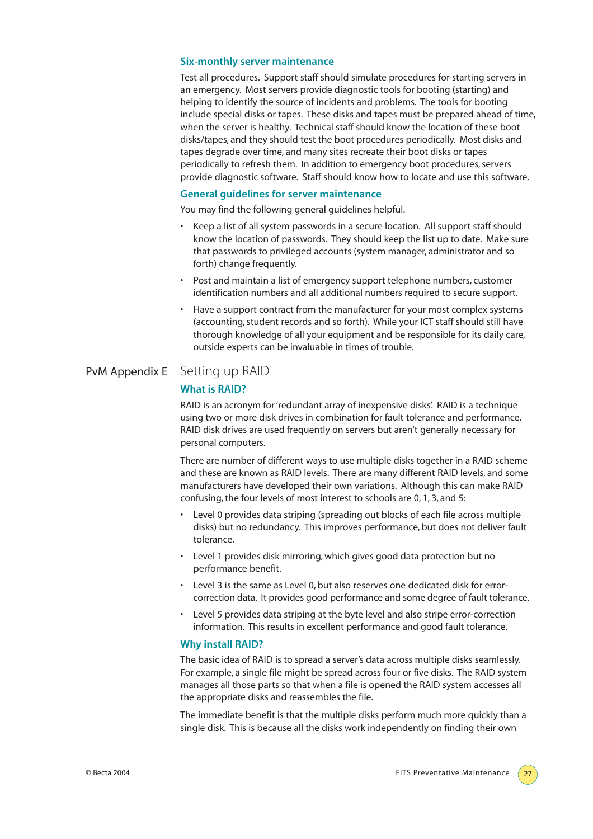#### **Six-monthly server maintenance**

Test all procedures. Support staff should simulate procedures for starting servers in an emergency. Most servers provide diagnostic tools for booting (starting) and helping to identify the source of incidents and problems. The tools for booting include special disks or tapes. These disks and tapes must be prepared ahead of time, when the server is healthy. Technical staff should know the location of these boot disks/tapes, and they should test the boot procedures periodically. Most disks and tapes degrade over time, and many sites recreate their boot disks or tapes periodically to refresh them. In addition to emergency boot procedures, servers provide diagnostic software. Staff should know how to locate and use this software.

#### **General guidelines for server maintenance**

You may find the following general guidelines helpful.

- Keep a list of all system passwords in a secure location. All support staff should know the location of passwords. They should keep the list up to date. Make sure that passwords to privileged accounts (system manager, administrator and so forth) change frequently.
- Post and maintain a list of emergency support telephone numbers, customer identification numbers and all additional numbers required to secure support.
- Have a support contract from the manufacturer for your most complex systems (accounting, student records and so forth). While your ICT staff should still have thorough knowledge of all your equipment and be responsible for its daily care, outside experts can be invaluable in times of trouble.

# PvM Appendix E Setting up RAID

### **What is RAID?**

RAID is an acronym for 'redundant array of inexpensive disks'. RAID is a technique using two or more disk drives in combination for fault tolerance and performance. RAID disk drives are used frequently on servers but aren't generally necessary for personal computers.

There are number of different ways to use multiple disks together in a RAID scheme and these are known as RAID levels. There are many different RAID levels, and some manufacturers have developed their own variations. Although this can make RAID confusing, the four levels of most interest to schools are 0, 1, 3, and 5:

- Level 0 provides data striping (spreading out blocks of each file across multiple disks) but no redundancy. This improves performance, but does not deliver fault tolerance.
- Level 1 provides disk mirroring, which gives good data protection but no performance benefit.
- Level 3 is the same as Level 0, but also reserves one dedicated disk for errorcorrection data. It provides good performance and some degree of fault tolerance.
- Level 5 provides data striping at the byte level and also stripe error-correction information. This results in excellent performance and good fault tolerance.

#### **Why install RAID?**

The basic idea of RAID is to spread a server's data across multiple disks seamlessly. For example, a single file might be spread across four or five disks. The RAID system manages all those parts so that when a file is opened the RAID system accesses all the appropriate disks and reassembles the file.

The immediate benefit is that the multiple disks perform much more quickly than a single disk. This is because all the disks work independently on finding their own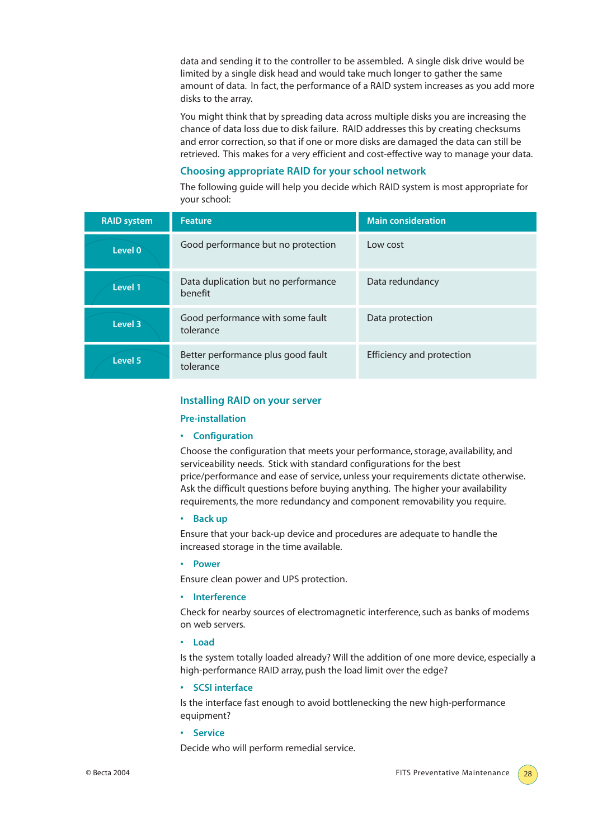data and sending it to the controller to be assembled. A single disk drive would be limited by a single disk head and would take much longer to gather the same amount of data. In fact, the performance of a RAID system increases as you add more disks to the array.

You might think that by spreading data across multiple disks you are increasing the chance of data loss due to disk failure. RAID addresses this by creating checksums and error correction, so that if one or more disks are damaged the data can still be retrieved. This makes for a very efficient and cost-effective way to manage your data.

# **Choosing appropriate RAID for your school network**

The following guide will help you decide which RAID system is most appropriate for your school:

| <b>RAID system</b> | <b>Feature</b>                                  | <b>Main consideration</b> |
|--------------------|-------------------------------------------------|---------------------------|
| Level 0            | Good performance but no protection              | Low cost                  |
| Level 1            | Data duplication but no performance<br>benefit  | Data redundancy           |
| Level 3            | Good performance with some fault<br>tolerance   | Data protection           |
| Level 5            | Better performance plus good fault<br>tolerance | Efficiency and protection |

#### **Installing RAID on your server**

#### **Pre-installation**

#### **• Configuration**

Choose the configuration that meets your performance, storage, availability, and serviceability needs. Stick with standard configurations for the best price/performance and ease of service, unless your requirements dictate otherwise. Ask the difficult questions before buying anything. The higher your availability requirements, the more redundancy and component removability you require.

#### **• Back up**

Ensure that your back-up device and procedures are adequate to handle the increased storage in the time available.

#### **• Power**

Ensure clean power and UPS protection.

#### **• Interference**

Check for nearby sources of electromagnetic interference, such as banks of modems on web servers.

#### **• Load**

Is the system totally loaded already? Will the addition of one more device, especially a high-performance RAID array, push the load limit over the edge?

#### **• SCSI interface**

Is the interface fast enough to avoid bottlenecking the new high-performance equipment?

**• Service** 

Decide who will perform remedial service.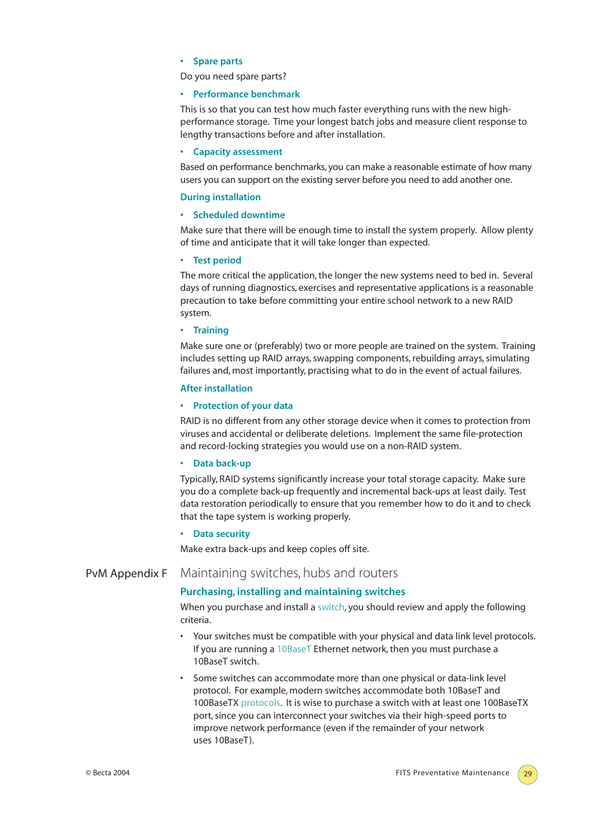#### **• Spare parts**

Do you need spare parts?

#### **• Performance benchmark**

This is so that you can test how much faster everything runs with the new highperformance storage. Time your longest batch jobs and measure client response to lengthy transactions before and after installation.

#### **• Capacity assessment**

Based on performance benchmarks, you can make a reasonable estimate of how many users you can support on the existing server before you need to add another one.

#### **During installation**

#### **• Scheduled downtime**

Make sure that there will be enough time to install the system properly. Allow plenty of time and anticipate that it will take longer than expected.

#### **• Test period**

The more critical the application, the longer the new systems need to bed in. Several days of running diagnostics, exercises and representative applications is a reasonable precaution to take before committing your entire school network to a new RAID system.

#### **• Training**

Make sure one or (preferably) two or more people are trained on the system. Training includes setting up RAID arrays, swapping components, rebuilding arrays, simulating failures and, most importantly, practising what to do in the event of actual failures.

#### **After installation**

#### **• Protection of your data**

RAID is no different from any other storage device when it comes to protection from viruses and accidental or deliberate deletions. Implement the same file-protection and record-locking strategies you would use on a non-RAID system.

#### **• Data back-up**

Typically, RAID systems significantly increase your total storage capacity. Make sure you do a complete back-up frequently and incremental back-ups at least daily. Test data restoration periodically to ensure that you remember how to do it and to check that the tape system is working properly.

#### **• Data security**

Make extra back-ups and keep copies off site.

# PvM Appendix F Maintaining switches, hubs and routers

#### **Purchasing, installing and maintaining switches**

When you purchase and install a switch, you should review and apply the following criteria.

- Your switches must be compatible with your physical and data link level protocols. If you are running a 10BaseT Ethernet network, then you must purchase a 10BaseT switch.
- Some switches can accommodate more than one physical or data-link level protocol. For example, modern switches accommodate both 10BaseT and 100BaseTX protocols. It is wise to purchase a switch with at least one 100BaseTX port, since you can interconnect your switches via their high-speed ports to improve network performance (even if the remainder of your network uses 10BaseT).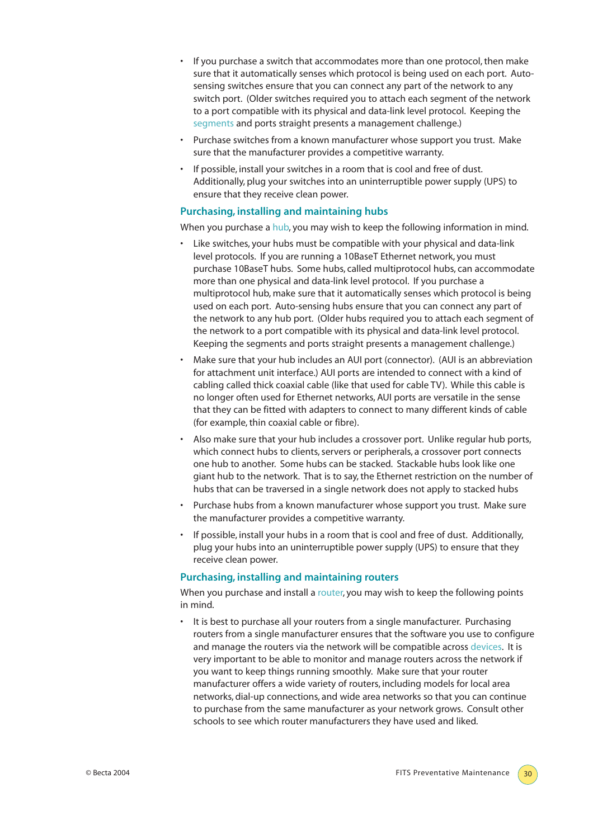- If you purchase a switch that accommodates more than one protocol, then make sure that it automatically senses which protocol is being used on each port. Autosensing switches ensure that you can connect any part of the network to any switch port. (Older switches required you to attach each segment of the network to a port compatible with its physical and data-link level protocol. Keeping the segments and ports straight presents a management challenge.)
- Purchase switches from a known manufacturer whose support you trust. Make sure that the manufacturer provides a competitive warranty.
- If possible, install your switches in a room that is cool and free of dust. Additionally, plug your switches into an uninterruptible power supply (UPS) to ensure that they receive clean power.

#### **Purchasing, installing and maintaining hubs**

When you purchase a hub, you may wish to keep the following information in mind.

- Like switches, your hubs must be compatible with your physical and data-link level protocols. If you are running a 10BaseT Ethernet network, you must purchase 10BaseT hubs. Some hubs, called multiprotocol hubs, can accommodate more than one physical and data-link level protocol. If you purchase a multiprotocol hub, make sure that it automatically senses which protocol is being used on each port. Auto-sensing hubs ensure that you can connect any part of the network to any hub port. (Older hubs required you to attach each segment of the network to a port compatible with its physical and data-link level protocol. Keeping the segments and ports straight presents a management challenge.)
- Make sure that your hub includes an AUI port (connector). (AUI is an abbreviation for attachment unit interface.) AUI ports are intended to connect with a kind of cabling called thick coaxial cable (like that used for cable TV). While this cable is no longer often used for Ethernet networks, AUI ports are versatile in the sense that they can be fitted with adapters to connect to many different kinds of cable (for example, thin coaxial cable or fibre).
- Also make sure that your hub includes a crossover port. Unlike regular hub ports, which connect hubs to clients, servers or peripherals, a crossover port connects one hub to another. Some hubs can be stacked. Stackable hubs look like one giant hub to the network. That is to say, the Ethernet restriction on the number of hubs that can be traversed in a single network does not apply to stacked hubs
- Purchase hubs from a known manufacturer whose support you trust. Make sure the manufacturer provides a competitive warranty.
- If possible, install your hubs in a room that is cool and free of dust. Additionally, plug your hubs into an uninterruptible power supply (UPS) to ensure that they receive clean power.

#### **Purchasing, installing and maintaining routers**

When you purchase and install a router, you may wish to keep the following points in mind.

It is best to purchase all your routers from a single manufacturer. Purchasing routers from a single manufacturer ensures that the software you use to configure and manage the routers via the network will be compatible across devices. It is very important to be able to monitor and manage routers across the network if you want to keep things running smoothly. Make sure that your router manufacturer offers a wide variety of routers, including models for local area networks, dial-up connections, and wide area networks so that you can continue to purchase from the same manufacturer as your network grows. Consult other schools to see which router manufacturers they have used and liked.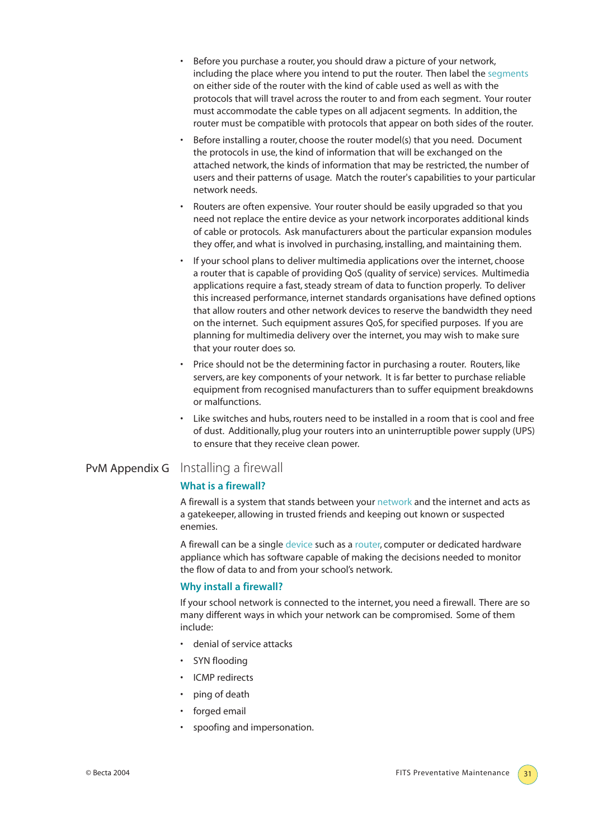- Before you purchase a router, you should draw a picture of your network, including the place where you intend to put the router. Then label the segments on either side of the router with the kind of cable used as well as with the protocols that will travel across the router to and from each segment. Your router must accommodate the cable types on all adjacent segments. In addition, the router must be compatible with protocols that appear on both sides of the router.
- Before installing a router, choose the router model(s) that you need. Document the protocols in use, the kind of information that will be exchanged on the attached network, the kinds of information that may be restricted, the number of users and their patterns of usage. Match the router's capabilities to your particular network needs.
- Routers are often expensive. Your router should be easily upgraded so that you need not replace the entire device as your network incorporates additional kinds of cable or protocols. Ask manufacturers about the particular expansion modules they offer, and what is involved in purchasing, installing, and maintaining them.
- If your school plans to deliver multimedia applications over the internet, choose a router that is capable of providing QoS (quality of service) services. Multimedia applications require a fast, steady stream of data to function properly. To deliver this increased performance, internet standards organisations have defined options that allow routers and other network devices to reserve the bandwidth they need on the internet. Such equipment assures QoS, for specified purposes. If you are planning for multimedia delivery over the internet, you may wish to make sure that your router does so.
- Price should not be the determining factor in purchasing a router. Routers, like servers, are key components of your network. It is far better to purchase reliable equipment from recognised manufacturers than to suffer equipment breakdowns or malfunctions.
- Like switches and hubs, routers need to be installed in a room that is cool and free of dust. Additionally, plug your routers into an uninterruptible power supply (UPS) to ensure that they receive clean power.

# PvM Appendix G Installing a firewall

#### **What is a firewall?**

A firewall is a system that stands between your network and the internet and acts as a gatekeeper, allowing in trusted friends and keeping out known or suspected enemies.

A firewall can be a single device such as a router, computer or dedicated hardware appliance which has software capable of making the decisions needed to monitor the flow of data to and from your school's network.

#### **Why install a firewall?**

If your school network is connected to the internet, you need a firewall. There are so many different ways in which your network can be compromised. Some of them include:

- denial of service attacks
- SYN flooding
- ICMP redirects
- ping of death
- forged email
- spoofing and impersonation.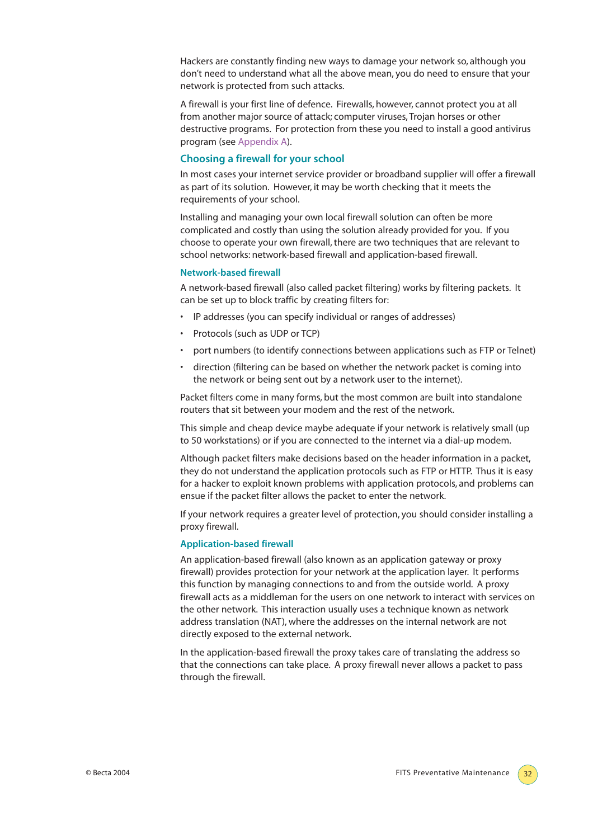Hackers are constantly finding new ways to damage your network so, although you don't need to understand what all the above mean, you do need to ensure that your network is protected from such attacks.

A firewall is your first line of defence. Firewalls, however, cannot protect you at all from another major source of attack; computer viruses, Trojan horses or other destructive programs. For protection from these you need to install a good antivirus program (see Appendix A).

#### **Choosing a firewall for your school**

In most cases your internet service provider or broadband supplier will offer a firewall as part of its solution. However, it may be worth checking that it meets the requirements of your school.

Installing and managing your own local firewall solution can often be more complicated and costly than using the solution already provided for you. If you choose to operate your own firewall, there are two techniques that are relevant to school networks: network-based firewall and application-based firewall.

#### **Network-based firewall**

A network-based firewall (also called packet filtering) works by filtering packets. It can be set up to block traffic by creating filters for:

- IP addresses (you can specify individual or ranges of addresses)
- Protocols (such as UDP or TCP)
- port numbers (to identify connections between applications such as FTP or Telnet)
- direction (filtering can be based on whether the network packet is coming into the network or being sent out by a network user to the internet).

Packet filters come in many forms, but the most common are built into standalone routers that sit between your modem and the rest of the network.

This simple and cheap device maybe adequate if your network is relatively small (up to 50 workstations) or if you are connected to the internet via a dial-up modem.

Although packet filters make decisions based on the header information in a packet, they do not understand the application protocols such as FTP or HTTP. Thus it is easy for a hacker to exploit known problems with application protocols, and problems can ensue if the packet filter allows the packet to enter the network.

If your network requires a greater level of protection, you should consider installing a proxy firewall.

#### **Application-based firewall**

An application-based firewall (also known as an application gateway or proxy firewall) provides protection for your network at the application layer. It performs this function by managing connections to and from the outside world. A proxy firewall acts as a middleman for the users on one network to interact with services on the other network. This interaction usually uses a technique known as network address translation (NAT), where the addresses on the internal network are not directly exposed to the external network.

In the application-based firewall the proxy takes care of translating the address so that the connections can take place. A proxy firewall never allows a packet to pass through the firewall.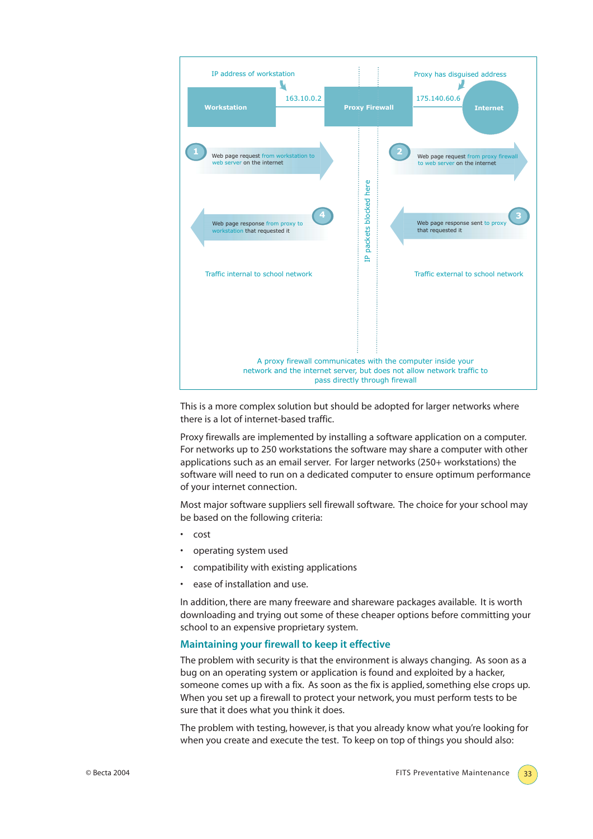

This is a more complex solution but should be adopted for larger networks where there is a lot of internet-based traffic.

Proxy firewalls are implemented by installing a software application on a computer. For networks up to 250 workstations the software may share a computer with other applications such as an email server. For larger networks (250+ workstations) the software will need to run on a dedicated computer to ensure optimum performance of your internet connection.

Most major software suppliers sell firewall software. The choice for your school may be based on the following criteria:

- cost
- operating system used
- compatibility with existing applications
- ease of installation and use.

In addition, there are many freeware and shareware packages available. It is worth downloading and trying out some of these cheaper options before committing your school to an expensive proprietary system.

#### **Maintaining your firewall to keep it effective**

The problem with security is that the environment is always changing. As soon as a bug on an operating system or application is found and exploited by a hacker, someone comes up with a fix. As soon as the fix is applied, something else crops up. When you set up a firewall to protect your network, you must perform tests to be sure that it does what you think it does.

The problem with testing, however, is that you already know what you're looking for when you create and execute the test. To keep on top of things you should also: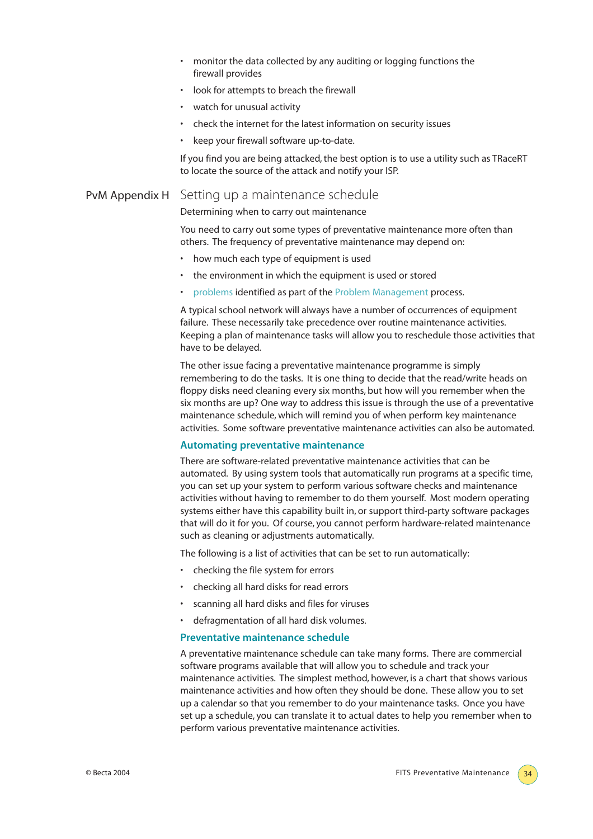- monitor the data collected by any auditing or logging functions the firewall provides
- look for attempts to breach the firewall
- watch for unusual activity
- check the internet for the latest information on security issues
- keep your firewall software up-to-date.

If you find you are being attacked, the best option is to use a utility such as TRaceRT to locate the source of the attack and notify your ISP.

# PvM Appendix H Setting up a maintenance schedule

Determining when to carry out maintenance

You need to carry out some types of preventative maintenance more often than others. The frequency of preventative maintenance may depend on:

- how much each type of equipment is used
- the environment in which the equipment is used or stored
- problems identified as part of the Problem Management process.

A typical school network will always have a number of occurrences of equipment failure. These necessarily take precedence over routine maintenance activities. Keeping a plan of maintenance tasks will allow you to reschedule those activities that have to be delayed.

The other issue facing a preventative maintenance programme is simply remembering to do the tasks. It is one thing to decide that the read/write heads on floppy disks need cleaning every six months, but how will you remember when the six months are up? One way to address this issue is through the use of a preventative maintenance schedule, which will remind you of when perform key maintenance activities. Some software preventative maintenance activities can also be automated.

#### **Automating preventative maintenance**

There are software-related preventative maintenance activities that can be automated. By using system tools that automatically run programs at a specific time, you can set up your system to perform various software checks and maintenance activities without having to remember to do them yourself. Most modern operating systems either have this capability built in, or support third-party software packages that will do it for you. Of course, you cannot perform hardware-related maintenance such as cleaning or adjustments automatically.

The following is a list of activities that can be set to run automatically:

- checking the file system for errors
- checking all hard disks for read errors
- scanning all hard disks and files for viruses
- defragmentation of all hard disk volumes.

#### **Preventative maintenance schedule**

A preventative maintenance schedule can take many forms. There are commercial software programs available that will allow you to schedule and track your maintenance activities. The simplest method, however, is a chart that shows various maintenance activities and how often they should be done. These allow you to set up a calendar so that you remember to do your maintenance tasks. Once you have set up a schedule, you can translate it to actual dates to help you remember when to perform various preventative maintenance activities.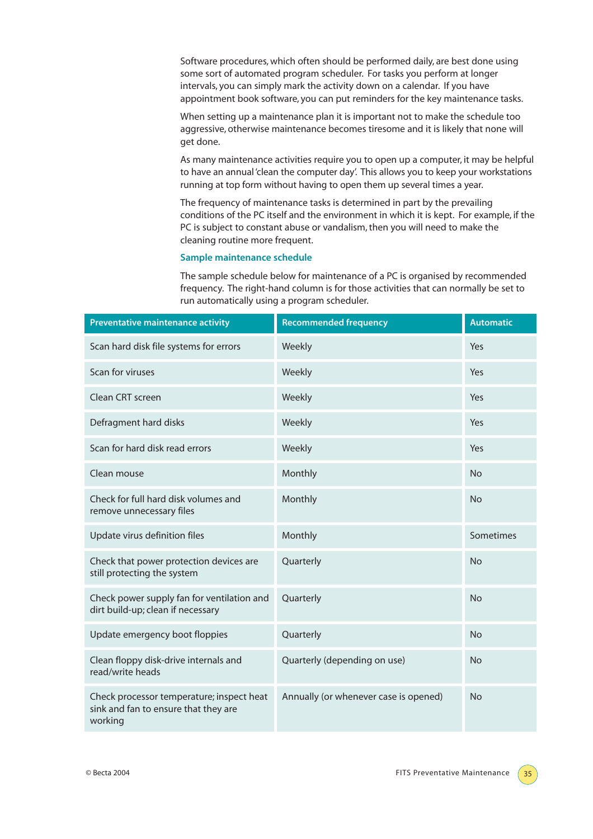Software procedures, which often should be performed daily, are best done using some sort of automated program scheduler. For tasks you perform at longer intervals, you can simply mark the activity down on a calendar. If you have appointment book software, you can put reminders for the key maintenance tasks.

When setting up a maintenance plan it is important not to make the schedule too aggressive, otherwise maintenance becomes tiresome and it is likely that none will get done.

As many maintenance activities require you to open up a computer, it may be helpful to have an annual 'clean the computer day'. This allows you to keep your workstations running at top form without having to open them up several times a year.

The frequency of maintenance tasks is determined in part by the prevailing conditions of the PC itself and the environment in which it is kept. For example, if the PC is subject to constant abuse or vandalism, then you will need to make the cleaning routine more frequent.

#### **Sample maintenance schedule**

The sample schedule below for maintenance of a PC is organised by recommended frequency. The right-hand column is for those activities that can normally be set to run automatically using a program scheduler.

| <b>Preventative maintenance activity</b>                                                     | <b>Recommended frequency</b>          | <b>Automatic</b> |
|----------------------------------------------------------------------------------------------|---------------------------------------|------------------|
| Scan hard disk file systems for errors                                                       | Weekly                                | Yes              |
| Scan for viruses                                                                             | Weekly                                | Yes              |
| Clean CRT screen                                                                             | Weekly                                | Yes              |
| Defragment hard disks                                                                        | Weekly                                | Yes              |
| Scan for hard disk read errors                                                               | Weekly                                | Yes              |
| Clean mouse                                                                                  | Monthly                               | <b>No</b>        |
| Check for full hard disk volumes and<br>remove unnecessary files                             | Monthly                               | <b>No</b>        |
| Update virus definition files                                                                | Monthly                               | Sometimes        |
| Check that power protection devices are<br>still protecting the system                       | Quarterly                             | <b>No</b>        |
| Check power supply fan for ventilation and<br>dirt build-up; clean if necessary              | Quarterly                             | <b>No</b>        |
| Update emergency boot floppies                                                               | Quarterly                             | <b>No</b>        |
| Clean floppy disk-drive internals and<br>read/write heads                                    | Quarterly (depending on use)          | <b>No</b>        |
| Check processor temperature; inspect heat<br>sink and fan to ensure that they are<br>working | Annually (or whenever case is opened) | <b>No</b>        |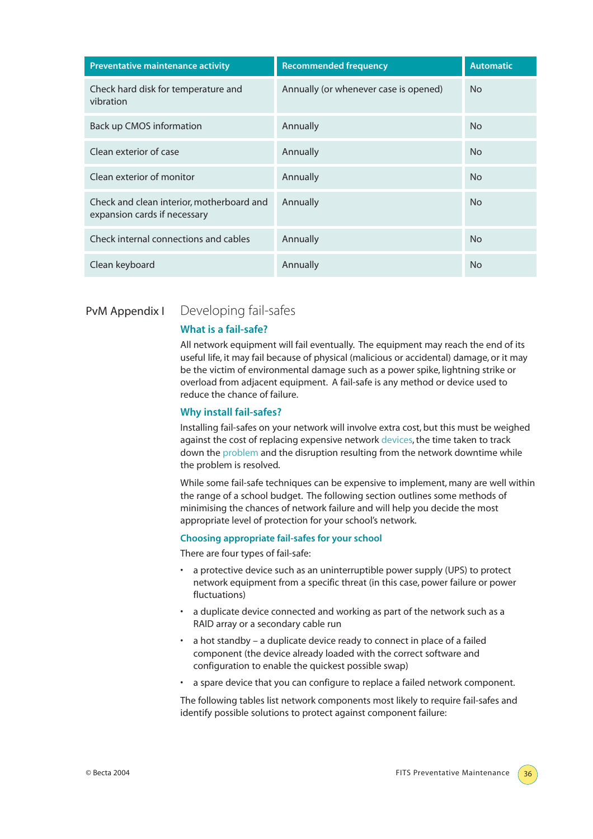| <b>Preventative maintenance activity</b>                                  | <b>Recommended frequency</b>          | <b>Automatic</b> |
|---------------------------------------------------------------------------|---------------------------------------|------------------|
| Check hard disk for temperature and<br>vibration                          | Annually (or whenever case is opened) | N <sub>o</sub>   |
| Back up CMOS information                                                  | Annually                              | N <sub>o</sub>   |
| Clean exterior of case                                                    | Annually                              | <b>No</b>        |
| Clean exterior of monitor                                                 | Annually                              | <b>No</b>        |
| Check and clean interior, motherboard and<br>expansion cards if necessary | Annually                              | N <sub>o</sub>   |
| Check internal connections and cables                                     | Annually                              | N <sub>o</sub>   |
| Clean keyboard                                                            | Annually                              | <b>No</b>        |

# PvM Appendix I Developing fail-safes

#### **What is a fail-safe?**

All network equipment will fail eventually. The equipment may reach the end of its useful life, it may fail because of physical (malicious or accidental) damage, or it may be the victim of environmental damage such as a power spike, lightning strike or overload from adjacent equipment. A fail-safe is any method or device used to reduce the chance of failure.

#### **Why install fail-safes?**

Installing fail-safes on your network will involve extra cost, but this must be weighed against the cost of replacing expensive network devices, the time taken to track down the problem and the disruption resulting from the network downtime while the problem is resolved.

While some fail-safe techniques can be expensive to implement, many are well within the range of a school budget. The following section outlines some methods of minimising the chances of network failure and will help you decide the most appropriate level of protection for your school's network.

#### **Choosing appropriate fail-safes for your school**

There are four types of fail-safe:

- a protective device such as an uninterruptible power supply (UPS) to protect network equipment from a specific threat (in this case, power failure or power fluctuations)
- a duplicate device connected and working as part of the network such as a RAID array or a secondary cable run
- a hot standby a duplicate device ready to connect in place of a failed component (the device already loaded with the correct software and configuration to enable the quickest possible swap)
- a spare device that you can configure to replace a failed network component.

The following tables list network components most likely to require fail-safes and identify possible solutions to protect against component failure: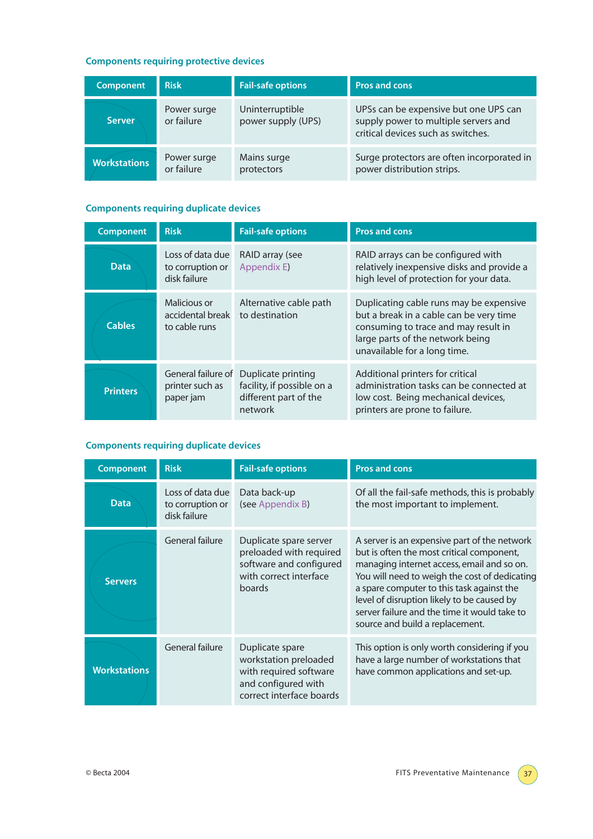# **Components requiring protective devices**

| <b>Component</b>    | <b>Risk</b>               | <b>Fail-safe options</b>              | <b>Pros and cons</b>                                                                                                |
|---------------------|---------------------------|---------------------------------------|---------------------------------------------------------------------------------------------------------------------|
| <b>Server</b>       | Power surge<br>or failure | Uninterruptible<br>power supply (UPS) | UPSs can be expensive but one UPS can<br>supply power to multiple servers and<br>critical devices such as switches. |
| <b>Workstations</b> | Power surge<br>or failure | Mains surge<br>protectors             | Surge protectors are often incorporated in<br>power distribution strips.                                            |

# **Components requiring duplicate devices**

| <b>Component</b> | <b>Risk</b>                                          | <b>Fail-safe options</b>                                                             | <b>Pros and cons</b>                                                                                                                                                                           |
|------------------|------------------------------------------------------|--------------------------------------------------------------------------------------|------------------------------------------------------------------------------------------------------------------------------------------------------------------------------------------------|
| <b>Data</b>      | Loss of data due<br>to corruption or<br>disk failure | RAID array (see<br>Appendix E)                                                       | RAID arrays can be configured with<br>relatively inexpensive disks and provide a<br>high level of protection for your data.                                                                    |
| <b>Cables</b>    | Malicious or<br>accidental break<br>to cable runs    | Alternative cable path<br>to destination                                             | Duplicating cable runs may be expensive<br>but a break in a cable can be very time<br>consuming to trace and may result in<br>large parts of the network being<br>unavailable for a long time. |
| <b>Printers</b>  | General failure of<br>printer such as<br>paper jam   | Duplicate printing<br>facility, if possible on a<br>different part of the<br>network | Additional printers for critical<br>administration tasks can be connected at<br>low cost. Being mechanical devices,<br>printers are prone to failure.                                          |

# **Components requiring duplicate devices**

| <b>Component</b>    | <b>Risk</b>                                          | <b>Fail-safe options</b>                                                                                              | <b>Pros and cons</b>                                                                                                                                                                                                                                                                                                                                                   |
|---------------------|------------------------------------------------------|-----------------------------------------------------------------------------------------------------------------------|------------------------------------------------------------------------------------------------------------------------------------------------------------------------------------------------------------------------------------------------------------------------------------------------------------------------------------------------------------------------|
| <b>Data</b>         | Loss of data due<br>to corruption or<br>disk failure | Data back-up<br>(see Appendix B)                                                                                      | Of all the fail-safe methods, this is probably<br>the most important to implement.                                                                                                                                                                                                                                                                                     |
| <b>Servers</b>      | General failure                                      | Duplicate spare server<br>preloaded with required<br>software and configured<br>with correct interface<br>boards      | A server is an expensive part of the network<br>but is often the most critical component,<br>managing internet access, email and so on.<br>You will need to weigh the cost of dedicating<br>a spare computer to this task against the<br>level of disruption likely to be caused by<br>server failure and the time it would take to<br>source and build a replacement. |
| <b>Workstations</b> | General failure                                      | Duplicate spare<br>workstation preloaded<br>with required software<br>and configured with<br>correct interface boards | This option is only worth considering if you<br>have a large number of workstations that<br>have common applications and set-up.                                                                                                                                                                                                                                       |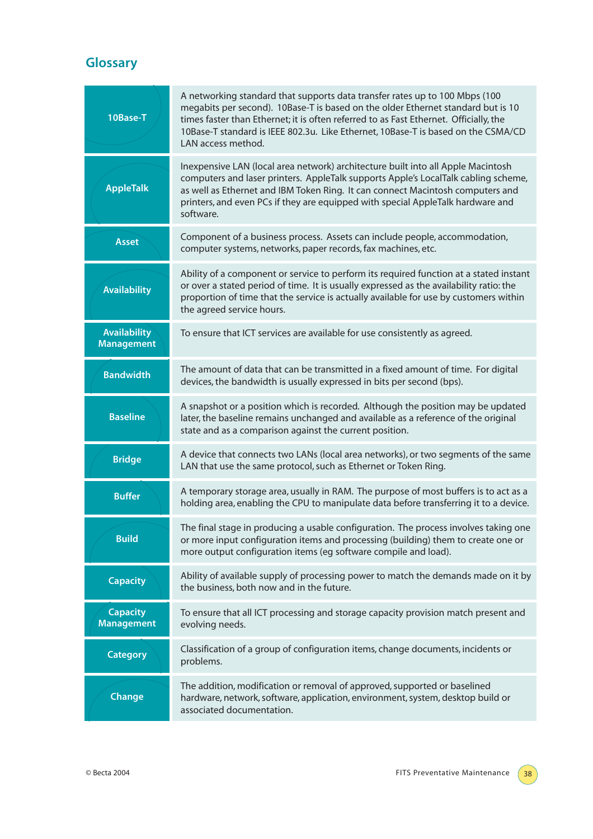# **Glossary**

| 10Base-T                                 | A networking standard that supports data transfer rates up to 100 Mbps (100<br>megabits per second). 10Base-T is based on the older Ethernet standard but is 10<br>times faster than Ethernet; it is often referred to as Fast Ethernet. Officially, the<br>10Base-T standard is IEEE 802.3u. Like Ethernet, 10Base-T is based on the CSMA/CD<br>LAN access method. |
|------------------------------------------|---------------------------------------------------------------------------------------------------------------------------------------------------------------------------------------------------------------------------------------------------------------------------------------------------------------------------------------------------------------------|
| <b>AppleTalk</b>                         | Inexpensive LAN (local area network) architecture built into all Apple Macintosh<br>computers and laser printers. AppleTalk supports Apple's LocalTalk cabling scheme,<br>as well as Ethernet and IBM Token Ring. It can connect Macintosh computers and<br>printers, and even PCs if they are equipped with special AppleTalk hardware and<br>software.            |
| <b>Asset</b>                             | Component of a business process. Assets can include people, accommodation,<br>computer systems, networks, paper records, fax machines, etc.                                                                                                                                                                                                                         |
| <b>Availability</b>                      | Ability of a component or service to perform its required function at a stated instant<br>or over a stated period of time. It is usually expressed as the availability ratio: the<br>proportion of time that the service is actually available for use by customers within<br>the agreed service hours.                                                             |
| <b>Availability</b><br><b>Management</b> | To ensure that ICT services are available for use consistently as agreed.                                                                                                                                                                                                                                                                                           |
| <b>Bandwidth</b>                         | The amount of data that can be transmitted in a fixed amount of time. For digital<br>devices, the bandwidth is usually expressed in bits per second (bps).                                                                                                                                                                                                          |
| <b>Baseline</b>                          | A snapshot or a position which is recorded. Although the position may be updated<br>later, the baseline remains unchanged and available as a reference of the original<br>state and as a comparison against the current position.                                                                                                                                   |
| <b>Bridge</b>                            | A device that connects two LANs (local area networks), or two segments of the same<br>LAN that use the same protocol, such as Ethernet or Token Ring.                                                                                                                                                                                                               |
| <b>Buffer</b>                            | A temporary storage area, usually in RAM. The purpose of most buffers is to act as a<br>holding area, enabling the CPU to manipulate data before transferring it to a device.                                                                                                                                                                                       |
| <b>Build</b>                             | The final stage in producing a usable configuration. The process involves taking one<br>or more input configuration items and processing (building) them to create one or<br>more output configuration items (eg software compile and load).                                                                                                                        |
| <b>Capacity</b>                          | Ability of available supply of processing power to match the demands made on it by<br>the business, both now and in the future.                                                                                                                                                                                                                                     |
| <b>Capacity</b><br><b>Management</b>     | To ensure that all ICT processing and storage capacity provision match present and<br>evolving needs.                                                                                                                                                                                                                                                               |
| <b>Category</b>                          | Classification of a group of configuration items, change documents, incidents or<br>problems.                                                                                                                                                                                                                                                                       |
| Change                                   | The addition, modification or removal of approved, supported or baselined<br>hardware, network, software, application, environment, system, desktop build or<br>associated documentation.                                                                                                                                                                           |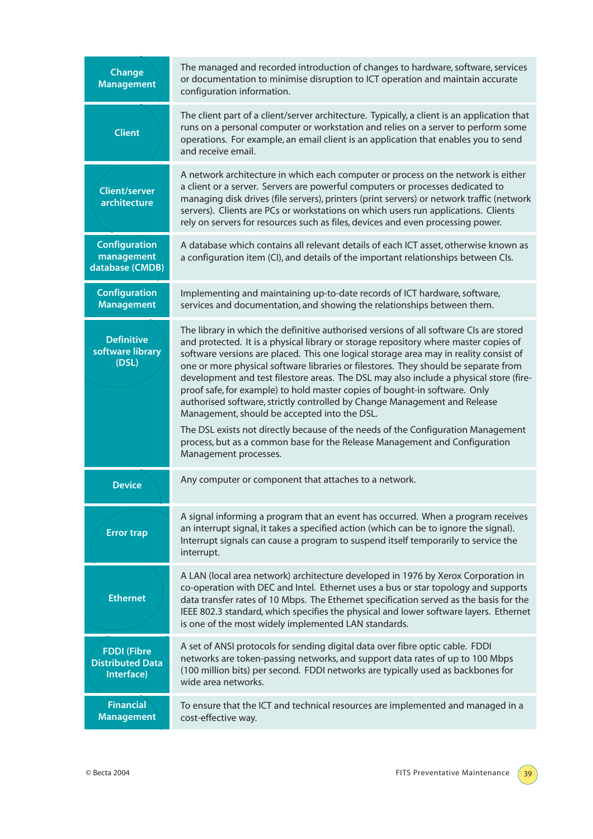| Change<br><b>Management</b>                                 | The managed and recorded introduction of changes to hardware, software, services<br>or documentation to minimise disruption to ICT operation and maintain accurate<br>configuration information.                                                                                                                                                                                                                                                                                                                                                                                                                                                                                                                                                                                                                                                               |
|-------------------------------------------------------------|----------------------------------------------------------------------------------------------------------------------------------------------------------------------------------------------------------------------------------------------------------------------------------------------------------------------------------------------------------------------------------------------------------------------------------------------------------------------------------------------------------------------------------------------------------------------------------------------------------------------------------------------------------------------------------------------------------------------------------------------------------------------------------------------------------------------------------------------------------------|
| <b>Client</b>                                               | The client part of a client/server architecture. Typically, a client is an application that<br>runs on a personal computer or workstation and relies on a server to perform some<br>operations. For example, an email client is an application that enables you to send<br>and receive email.                                                                                                                                                                                                                                                                                                                                                                                                                                                                                                                                                                  |
| <b>Client/server</b><br>architecture                        | A network architecture in which each computer or process on the network is either<br>a client or a server. Servers are powerful computers or processes dedicated to<br>managing disk drives (file servers), printers (print servers) or network traffic (network<br>servers). Clients are PCs or workstations on which users run applications. Clients<br>rely on servers for resources such as files, devices and even processing power.                                                                                                                                                                                                                                                                                                                                                                                                                      |
| <b>Configuration</b><br>management<br>database (CMDB)       | A database which contains all relevant details of each ICT asset, otherwise known as<br>a configuration item (CI), and details of the important relationships between CIs.                                                                                                                                                                                                                                                                                                                                                                                                                                                                                                                                                                                                                                                                                     |
| <b>Configuration</b><br><b>Management</b>                   | Implementing and maintaining up-to-date records of ICT hardware, software,<br>services and documentation, and showing the relationships between them.                                                                                                                                                                                                                                                                                                                                                                                                                                                                                                                                                                                                                                                                                                          |
| <b>Definitive</b><br>software library<br>(DSL)              | The library in which the definitive authorised versions of all software CIs are stored<br>and protected. It is a physical library or storage repository where master copies of<br>software versions are placed. This one logical storage area may in reality consist of<br>one or more physical software libraries or filestores. They should be separate from<br>development and test filestore areas. The DSL may also include a physical store (fire-<br>proof safe, for example) to hold master copies of bought-in software. Only<br>authorised software, strictly controlled by Change Management and Release<br>Management, should be accepted into the DSL.<br>The DSL exists not directly because of the needs of the Configuration Management<br>process, but as a common base for the Release Management and Configuration<br>Management processes. |
| <b>Device</b>                                               | Any computer or component that attaches to a network.                                                                                                                                                                                                                                                                                                                                                                                                                                                                                                                                                                                                                                                                                                                                                                                                          |
| <b>Error trap</b>                                           | A signal informing a program that an event has occurred. When a program receives<br>an interrupt signal, it takes a specified action (which can be to ignore the signal).<br>Interrupt signals can cause a program to suspend itself temporarily to service the<br>interrupt.                                                                                                                                                                                                                                                                                                                                                                                                                                                                                                                                                                                  |
| <b>Ethernet</b>                                             | A LAN (local area network) architecture developed in 1976 by Xerox Corporation in<br>co-operation with DEC and Intel. Ethernet uses a bus or star topology and supports<br>data transfer rates of 10 Mbps. The Ethernet specification served as the basis for the<br>IEEE 802.3 standard, which specifies the physical and lower software layers. Ethernet<br>is one of the most widely implemented LAN standards.                                                                                                                                                                                                                                                                                                                                                                                                                                             |
| <b>FDDI</b> (Fibre<br><b>Distributed Data</b><br>Interface) | A set of ANSI protocols for sending digital data over fibre optic cable. FDDI<br>networks are token-passing networks, and support data rates of up to 100 Mbps<br>(100 million bits) per second. FDDI networks are typically used as backbones for<br>wide area networks.                                                                                                                                                                                                                                                                                                                                                                                                                                                                                                                                                                                      |
| <b>Financial</b><br><b>Management</b>                       | To ensure that the ICT and technical resources are implemented and managed in a<br>cost-effective way.                                                                                                                                                                                                                                                                                                                                                                                                                                                                                                                                                                                                                                                                                                                                                         |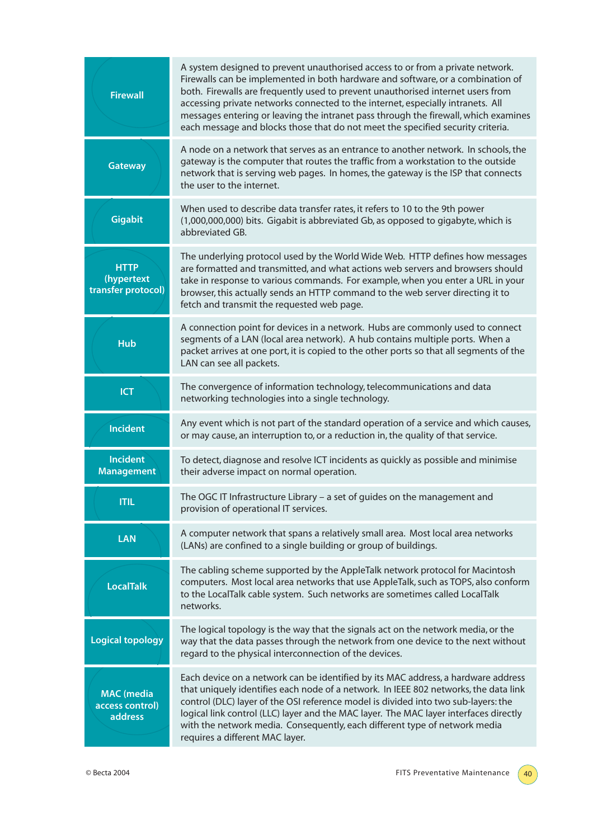| <b>Firewall</b>                                 | A system designed to prevent unauthorised access to or from a private network.<br>Firewalls can be implemented in both hardware and software, or a combination of<br>both. Firewalls are frequently used to prevent unauthorised internet users from<br>accessing private networks connected to the internet, especially intranets. All<br>messages entering or leaving the intranet pass through the firewall, which examines<br>each message and blocks those that do not meet the specified security criteria. |
|-------------------------------------------------|-------------------------------------------------------------------------------------------------------------------------------------------------------------------------------------------------------------------------------------------------------------------------------------------------------------------------------------------------------------------------------------------------------------------------------------------------------------------------------------------------------------------|
| <b>Gateway</b>                                  | A node on a network that serves as an entrance to another network. In schools, the<br>gateway is the computer that routes the traffic from a workstation to the outside<br>network that is serving web pages. In homes, the gateway is the ISP that connects<br>the user to the internet.                                                                                                                                                                                                                         |
| <b>Gigabit</b>                                  | When used to describe data transfer rates, it refers to 10 to the 9th power<br>(1,000,000,000) bits. Gigabit is abbreviated Gb, as opposed to gigabyte, which is<br>abbreviated GB.                                                                                                                                                                                                                                                                                                                               |
| <b>HTTP</b><br>(hypertext<br>transfer protocol) | The underlying protocol used by the World Wide Web. HTTP defines how messages<br>are formatted and transmitted, and what actions web servers and browsers should<br>take in response to various commands. For example, when you enter a URL in your<br>browser, this actually sends an HTTP command to the web server directing it to<br>fetch and transmit the requested web page.                                                                                                                               |
| <b>Hub</b>                                      | A connection point for devices in a network. Hubs are commonly used to connect<br>segments of a LAN (local area network). A hub contains multiple ports. When a<br>packet arrives at one port, it is copied to the other ports so that all segments of the<br>LAN can see all packets.                                                                                                                                                                                                                            |
| <b>ICT</b>                                      | The convergence of information technology, telecommunications and data<br>networking technologies into a single technology.                                                                                                                                                                                                                                                                                                                                                                                       |
| <b>Incident</b>                                 | Any event which is not part of the standard operation of a service and which causes,<br>or may cause, an interruption to, or a reduction in, the quality of that service.                                                                                                                                                                                                                                                                                                                                         |
| <b>Incident</b><br><b>Management</b>            | To detect, diagnose and resolve ICT incidents as quickly as possible and minimise<br>their adverse impact on normal operation.                                                                                                                                                                                                                                                                                                                                                                                    |
| ITIl                                            | The OGC IT Infrastructure Library - a set of guides on the management and<br>provision of operational IT services.                                                                                                                                                                                                                                                                                                                                                                                                |
| <b>LAN</b>                                      | A computer network that spans a relatively small area. Most local area networks<br>(LANs) are confined to a single building or group of buildings.                                                                                                                                                                                                                                                                                                                                                                |
| <b>LocalTalk</b>                                | The cabling scheme supported by the AppleTalk network protocol for Macintosh<br>computers. Most local area networks that use AppleTalk, such as TOPS, also conform<br>to the LocalTalk cable system. Such networks are sometimes called LocalTalk<br>networks.                                                                                                                                                                                                                                                    |
| <b>Logical topology</b>                         | The logical topology is the way that the signals act on the network media, or the<br>way that the data passes through the network from one device to the next without<br>regard to the physical interconnection of the devices.                                                                                                                                                                                                                                                                                   |
| <b>MAC</b> (media<br>access control)<br>address | Each device on a network can be identified by its MAC address, a hardware address<br>that uniquely identifies each node of a network. In IEEE 802 networks, the data link<br>control (DLC) layer of the OSI reference model is divided into two sub-layers: the<br>logical link control (LLC) layer and the MAC layer. The MAC layer interfaces directly<br>with the network media. Consequently, each different type of network media<br>requires a different MAC layer.                                         |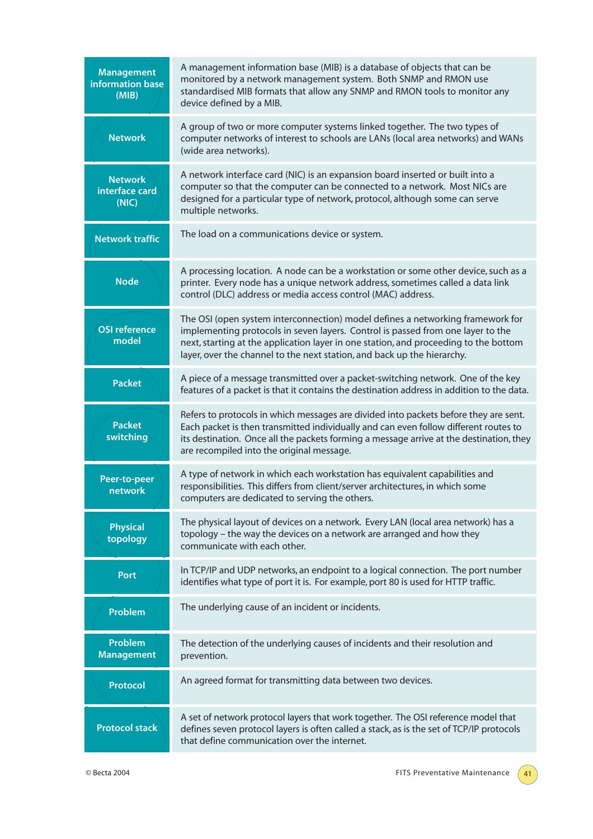| <b>Management</b><br>information base<br>(MIB) | A management information base (MIB) is a database of objects that can be<br>monitored by a network management system. Both SNMP and RMON use<br>standardised MIB formats that allow any SNMP and RMON tools to monitor any<br>device defined by a MIB.                                                                               |
|------------------------------------------------|--------------------------------------------------------------------------------------------------------------------------------------------------------------------------------------------------------------------------------------------------------------------------------------------------------------------------------------|
| <b>Network</b>                                 | A group of two or more computer systems linked together. The two types of<br>computer networks of interest to schools are LANs (local area networks) and WANs<br>(wide area networks).                                                                                                                                               |
| <b>Network</b><br>interface card<br>(NIC)      | A network interface card (NIC) is an expansion board inserted or built into a<br>computer so that the computer can be connected to a network. Most NICs are<br>designed for a particular type of network, protocol, although some can serve<br>multiple networks.                                                                    |
| <b>Network traffic</b>                         | The load on a communications device or system.                                                                                                                                                                                                                                                                                       |
| <b>Node</b>                                    | A processing location. A node can be a workstation or some other device, such as a<br>printer. Every node has a unique network address, sometimes called a data link<br>control (DLC) address or media access control (MAC) address.                                                                                                 |
| <b>OSI reference</b><br>model                  | The OSI (open system interconnection) model defines a networking framework for<br>implementing protocols in seven layers. Control is passed from one layer to the<br>next, starting at the application layer in one station, and proceeding to the bottom<br>layer, over the channel to the next station, and back up the hierarchy. |
| <b>Packet</b>                                  | A piece of a message transmitted over a packet-switching network. One of the key<br>features of a packet is that it contains the destination address in addition to the data.                                                                                                                                                        |
| <b>Packet</b><br>switching                     | Refers to protocols in which messages are divided into packets before they are sent.<br>Each packet is then transmitted individually and can even follow different routes to<br>its destination. Once all the packets forming a message arrive at the destination, they<br>are recompiled into the original message.                 |
| Peer-to-peer<br>network                        | A type of network in which each workstation has equivalent capabilities and<br>responsibilities. This differs from client/server architectures, in which some<br>computers are dedicated to serving the others.                                                                                                                      |
| <b>Physical</b><br>topology                    | The physical layout of devices on a network. Every LAN (local area network) has a<br>topology - the way the devices on a network are arranged and how they<br>communicate with each other.                                                                                                                                           |
| <b>Port</b>                                    | In TCP/IP and UDP networks, an endpoint to a logical connection. The port number<br>identifies what type of port it is. For example, port 80 is used for HTTP traffic.                                                                                                                                                               |
| Problem                                        | The underlying cause of an incident or incidents.                                                                                                                                                                                                                                                                                    |
| <b>Problem</b><br><b>Management</b>            | The detection of the underlying causes of incidents and their resolution and<br>prevention.                                                                                                                                                                                                                                          |
| <b>Protocol</b>                                | An agreed format for transmitting data between two devices.                                                                                                                                                                                                                                                                          |
| <b>Protocol stack</b>                          | A set of network protocol layers that work together. The OSI reference model that<br>defines seven protocol layers is often called a stack, as is the set of TCP/IP protocols<br>that define communication over the internet.                                                                                                        |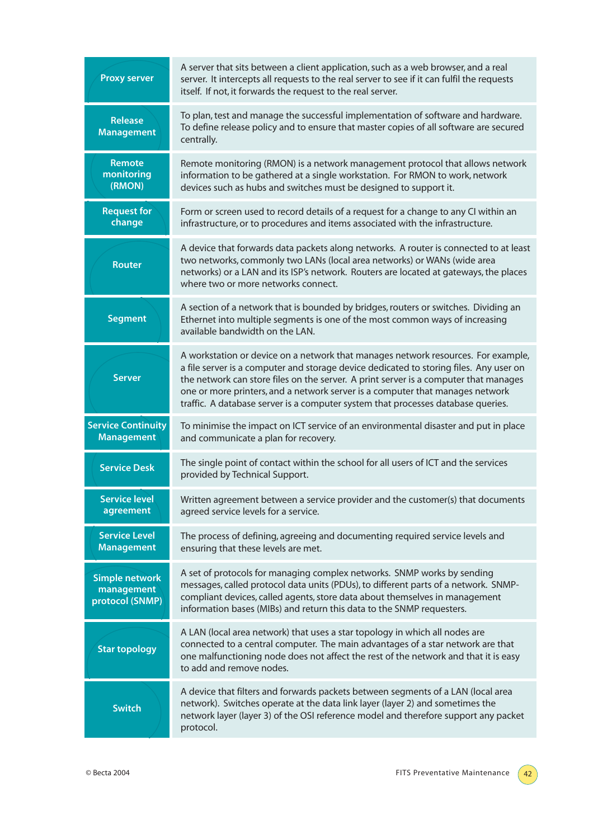| <b>Proxy server</b>                                    | A server that sits between a client application, such as a web browser, and a real<br>server. It intercepts all requests to the real server to see if it can fulfil the requests<br>itself. If not, it forwards the request to the real server.                                                                                                                                                                                          |
|--------------------------------------------------------|------------------------------------------------------------------------------------------------------------------------------------------------------------------------------------------------------------------------------------------------------------------------------------------------------------------------------------------------------------------------------------------------------------------------------------------|
| <b>Release</b><br><b>Management</b>                    | To plan, test and manage the successful implementation of software and hardware.<br>To define release policy and to ensure that master copies of all software are secured<br>centrally.                                                                                                                                                                                                                                                  |
| <b>Remote</b><br>monitoring<br>(RMON)                  | Remote monitoring (RMON) is a network management protocol that allows network<br>information to be gathered at a single workstation. For RMON to work, network<br>devices such as hubs and switches must be designed to support it.                                                                                                                                                                                                      |
| <b>Request for</b><br>change                           | Form or screen used to record details of a request for a change to any CI within an<br>infrastructure, or to procedures and items associated with the infrastructure.                                                                                                                                                                                                                                                                    |
| <b>Router</b>                                          | A device that forwards data packets along networks. A router is connected to at least<br>two networks, commonly two LANs (local area networks) or WANs (wide area<br>networks) or a LAN and its ISP's network. Routers are located at gateways, the places<br>where two or more networks connect.                                                                                                                                        |
| <b>Segment</b>                                         | A section of a network that is bounded by bridges, routers or switches. Dividing an<br>Ethernet into multiple segments is one of the most common ways of increasing<br>available bandwidth on the LAN.                                                                                                                                                                                                                                   |
| <b>Server</b>                                          | A workstation or device on a network that manages network resources. For example,<br>a file server is a computer and storage device dedicated to storing files. Any user on<br>the network can store files on the server. A print server is a computer that manages<br>one or more printers, and a network server is a computer that manages network<br>traffic. A database server is a computer system that processes database queries. |
| <b>Service Continuity</b><br><b>Management</b>         | To minimise the impact on ICT service of an environmental disaster and put in place<br>and communicate a plan for recovery.                                                                                                                                                                                                                                                                                                              |
| <b>Service Desk</b>                                    | The single point of contact within the school for all users of ICT and the services<br>provided by Technical Support.                                                                                                                                                                                                                                                                                                                    |
| <b>Service level</b><br>agreement                      | Written agreement between a service provider and the customer(s) that documents<br>agreed service levels for a service.                                                                                                                                                                                                                                                                                                                  |
| <b>Service Level</b><br><b>Management</b>              | The process of defining, agreeing and documenting required service levels and<br>ensuring that these levels are met.                                                                                                                                                                                                                                                                                                                     |
| <b>Simple network</b><br>management<br>protocol (SNMP) | A set of protocols for managing complex networks. SNMP works by sending<br>messages, called protocol data units (PDUs), to different parts of a network. SNMP-<br>compliant devices, called agents, store data about themselves in management<br>information bases (MIBs) and return this data to the SNMP requesters.                                                                                                                   |
| <b>Star topology</b>                                   | A LAN (local area network) that uses a star topology in which all nodes are<br>connected to a central computer. The main advantages of a star network are that<br>one malfunctioning node does not affect the rest of the network and that it is easy<br>to add and remove nodes.                                                                                                                                                        |
| <b>Switch</b>                                          | A device that filters and forwards packets between segments of a LAN (local area<br>network). Switches operate at the data link layer (layer 2) and sometimes the<br>network layer (layer 3) of the OSI reference model and therefore support any packet<br>protocol.                                                                                                                                                                    |